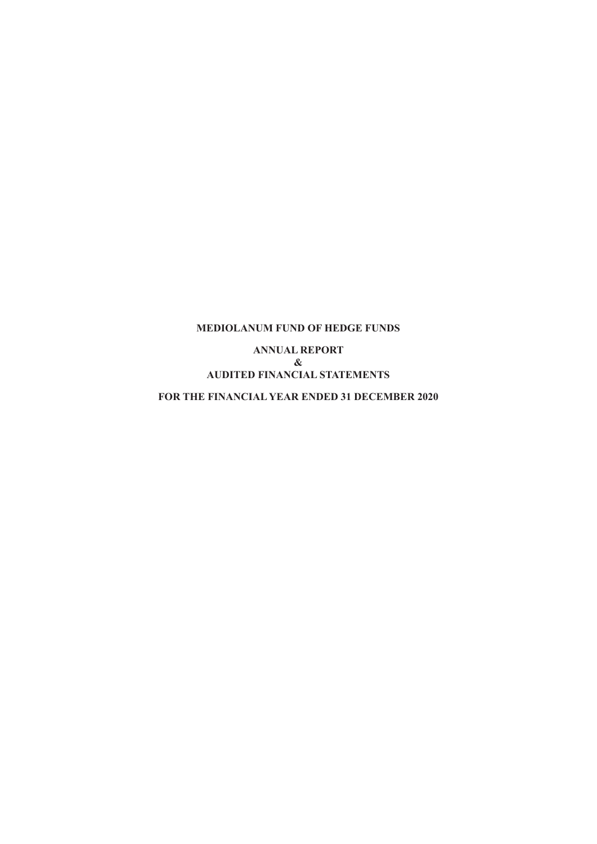**ANNUAL REPORT & AUDITED FINANCIAL STATEMENTS**

**FOR THE FINANCIAL YEAR ENDED 31 DECEMBER 2020**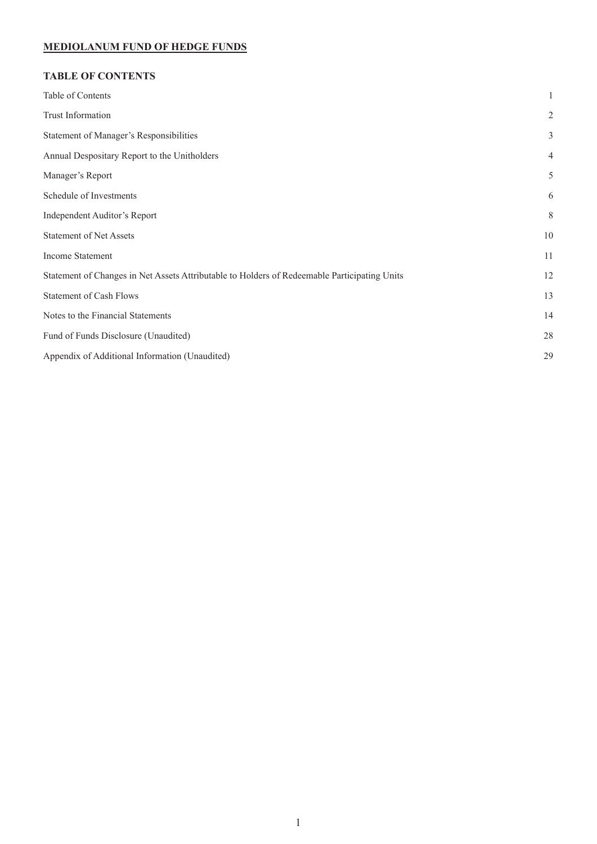# **TABLE OF CONTENTS**

| Table of Contents                                                                            | 1              |
|----------------------------------------------------------------------------------------------|----------------|
| Trust Information                                                                            | $\sqrt{2}$     |
| Statement of Manager's Responsibilities                                                      | 3              |
| Annual Despositary Report to the Unitholders                                                 | $\overline{4}$ |
| Manager's Report                                                                             | 5              |
| Schedule of Investments                                                                      | 6              |
| Independent Auditor's Report                                                                 | 8              |
| <b>Statement of Net Assets</b>                                                               | 10             |
| Income Statement                                                                             | 11             |
| Statement of Changes in Net Assets Attributable to Holders of Redeemable Participating Units | 12             |
| <b>Statement of Cash Flows</b>                                                               | 13             |
| Notes to the Financial Statements                                                            | 14             |
| Fund of Funds Disclosure (Unaudited)                                                         | 28             |
| Appendix of Additional Information (Unaudited)                                               | 29             |
|                                                                                              |                |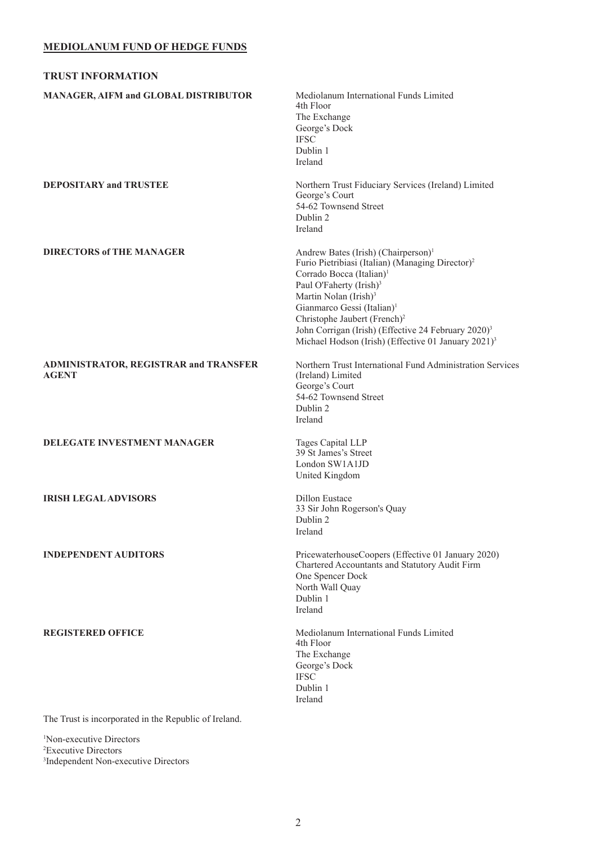<span id="page-2-0"></span>

| <b>TRUST INFORMATION</b>                                     |                                                                                                                                                                                                                                                                                                                                                                                                                                                                 |
|--------------------------------------------------------------|-----------------------------------------------------------------------------------------------------------------------------------------------------------------------------------------------------------------------------------------------------------------------------------------------------------------------------------------------------------------------------------------------------------------------------------------------------------------|
| MANAGER, AIFM and GLOBAL DISTRIBUTOR                         | Mediolanum International Funds Limited<br>4th Floor<br>The Exchange<br>George's Dock<br><b>IFSC</b><br>Dublin 1<br>Ireland                                                                                                                                                                                                                                                                                                                                      |
| <b>DEPOSITARY and TRUSTEE</b>                                | Northern Trust Fiduciary Services (Ireland) Limited<br>George's Court<br>54-62 Townsend Street<br>Dublin 2<br>Ireland                                                                                                                                                                                                                                                                                                                                           |
| <b>DIRECTORS of THE MANAGER</b>                              | Andrew Bates (Irish) (Chairperson) <sup>1</sup><br>Furio Pietribiasi (Italian) (Managing Director) <sup>2</sup><br>Corrado Bocca (Italian) <sup>1</sup><br>Paul O'Faherty (Irish) <sup>3</sup><br>Martin Nolan (Irish) <sup>3</sup><br>Gianmarco Gessi (Italian) <sup>1</sup><br>Christophe Jaubert (French) <sup>2</sup><br>John Corrigan (Irish) (Effective 24 February 2020) <sup>3</sup><br>Michael Hodson (Irish) (Effective 01 January 2021) <sup>3</sup> |
| <b>ADMINISTRATOR, REGISTRAR and TRANSFER</b><br><b>AGENT</b> | Northern Trust International Fund Administration Services<br>(Ireland) Limited<br>George's Court<br>54-62 Townsend Street<br>Dublin 2<br>Ireland                                                                                                                                                                                                                                                                                                                |
| DELEGATE INVESTMENT MANAGER                                  | Tages Capital LLP<br>39 St James's Street<br>London SW1A1JD<br>United Kingdom                                                                                                                                                                                                                                                                                                                                                                                   |
| <b>IRISH LEGAL ADVISORS</b>                                  | Dillon Eustace<br>33 Sir John Rogerson's Quay<br>Dublin $2$<br>Ireland                                                                                                                                                                                                                                                                                                                                                                                          |
| <b>INDEPENDENT AUDITORS</b>                                  | PricewaterhouseCoopers (Effective 01 January 2020)<br>Chartered Accountants and Statutory Audit Firm<br>One Spencer Dock<br>North Wall Quay<br>Dublin 1<br>Ireland                                                                                                                                                                                                                                                                                              |
| <b>REGISTERED OFFICE</b>                                     | Mediolanum International Funds Limited<br>4th Floor<br>The Exchange<br>George's Dock<br><b>IFSC</b><br>Dublin 1<br>Ireland                                                                                                                                                                                                                                                                                                                                      |
| The Trust is incorporated in the Republic of Ireland.        |                                                                                                                                                                                                                                                                                                                                                                                                                                                                 |

1 Non-executive Directors 2 Executive Directors 3 Independent Non-executive Directors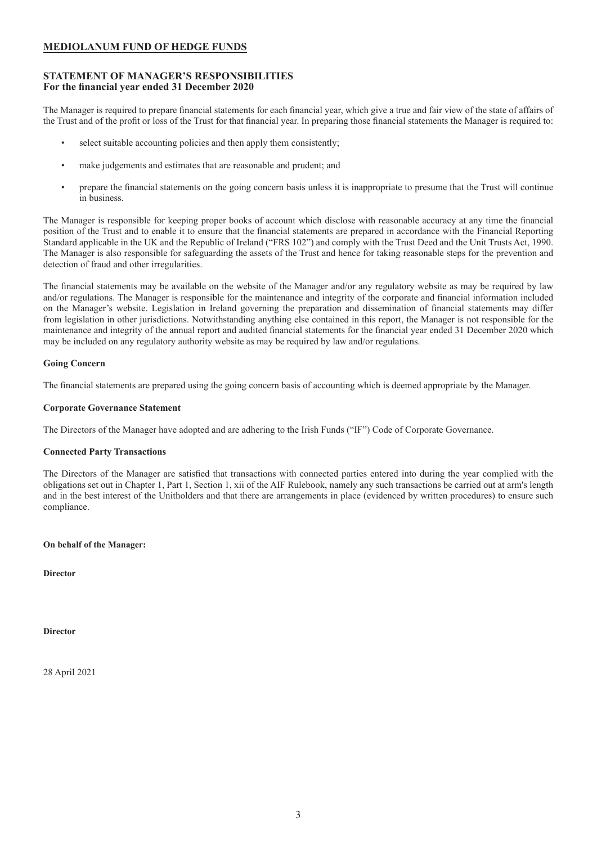# <span id="page-3-0"></span>**STATEMENT OF MANAGER'S RESPONSIBILITIES For the financial year ended 31 December 2020**

The Manager is required to prepare financial statements for each financial year, which give a true and fair view of the state of affairs of the Trust and of the profit or loss of the Trust for that financial year. In preparing those financial statements the Manager is required to:

- select suitable accounting policies and then apply them consistently;
- make judgements and estimates that are reasonable and prudent; and
- prepare the financial statements on the going concern basis unless it is inappropriate to presume that the Trust will continue in business.

The Manager is responsible for keeping proper books of account which disclose with reasonable accuracy at any time the financial position of the Trust and to enable it to ensure that the financial statements are prepared in accordance with the Financial Reporting Standard applicable in the UK and the Republic of Ireland ("FRS 102") and comply with the Trust Deed and the Unit Trusts Act, 1990. The Manager is also responsible for safeguarding the assets of the Trust and hence for taking reasonable steps for the prevention and detection of fraud and other irregularities.

The financial statements may be available on the website of the Manager and/or any regulatory website as may be required by law and/or regulations. The Manager is responsible for the maintenance and integrity of the corporate and financial information included on the Manager's website. Legislation in Ireland governing the preparation and dissemination of financial statements may differ from legislation in other jurisdictions. Notwithstanding anything else contained in this report, the Manager is not responsible for the maintenance and integrity of the annual report and audited financial statements for the financial year ended 31 December 2020 which may be included on any regulatory authority website as may be required by law and/or regulations.

# **Going Concern**

The financial statements are prepared using the going concern basis of accounting which is deemed appropriate by the Manager.

# **Corporate Governance Statement**

The Directors of the Manager have adopted and are adhering to the Irish Funds ("IF") Code of Corporate Governance.

# **Connected Party Transactions**

The Directors of the Manager are satisfied that transactions with connected parties entered into during the year complied with the obligations set out in Chapter 1, Part 1, Section 1, xii of the AIF Rulebook, namely any such transactions be carried out at arm's length and in the best interest of the Unitholders and that there are arrangements in place (evidenced by written procedures) to ensure such compliance.

# **On behalf of the Manager:**

**Director**

### **Director**

28 April 2021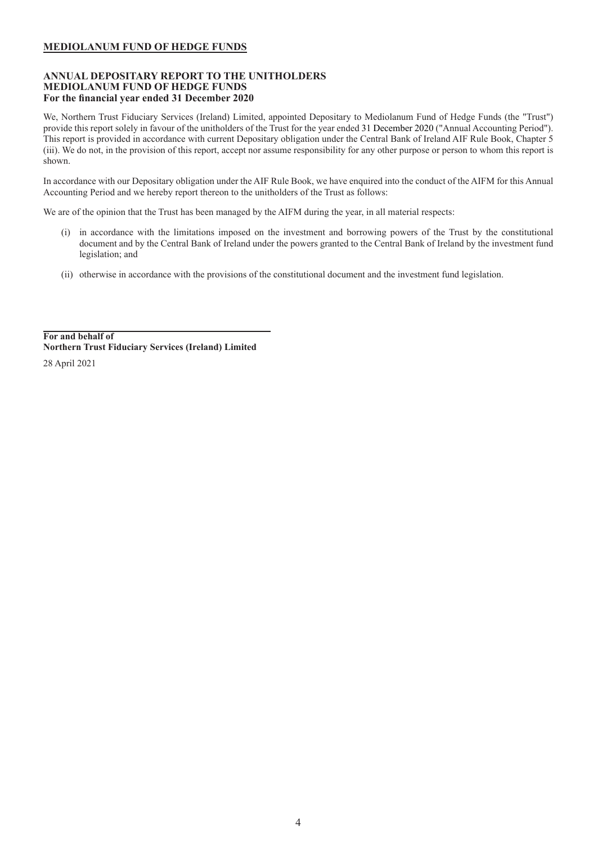# <span id="page-4-0"></span>**ANNUAL DEPOSITARY REPORT TO THE UNITHOLDERS MEDIOLANUM FUND OF HEDGE FUNDS For the financial year ended 31 December 2020**

We, Northern Trust Fiduciary Services (Ireland) Limited, appointed Depositary to Mediolanum Fund of Hedge Funds (the "Trust") provide this report solely in favour of the unitholders of the Trust for the year ended 31 December 2020 ("Annual Accounting Period"). This report is provided in accordance with current Depositary obligation under the Central Bank of Ireland AIF Rule Book, Chapter 5 (iii). We do not, in the provision of this report, accept nor assume responsibility for any other purpose or person to whom this report is shown.

In accordance with our Depositary obligation under the AIF Rule Book, we have enquired into the conduct of the AIFM for this Annual Accounting Period and we hereby report thereon to the unitholders of the Trust as follows:

We are of the opinion that the Trust has been managed by the AIFM during the year, in all material respects:

- (i) in accordance with the limitations imposed on the investment and borrowing powers of the Trust by the constitutional document and by the Central Bank of Ireland under the powers granted to the Central Bank of Ireland by the investment fund legislation; and
- (ii) otherwise in accordance with the provisions of the constitutional document and the investment fund legislation.

**For and behalf of Northern Trust Fiduciary Services (Ireland) Limited** 28 April 2021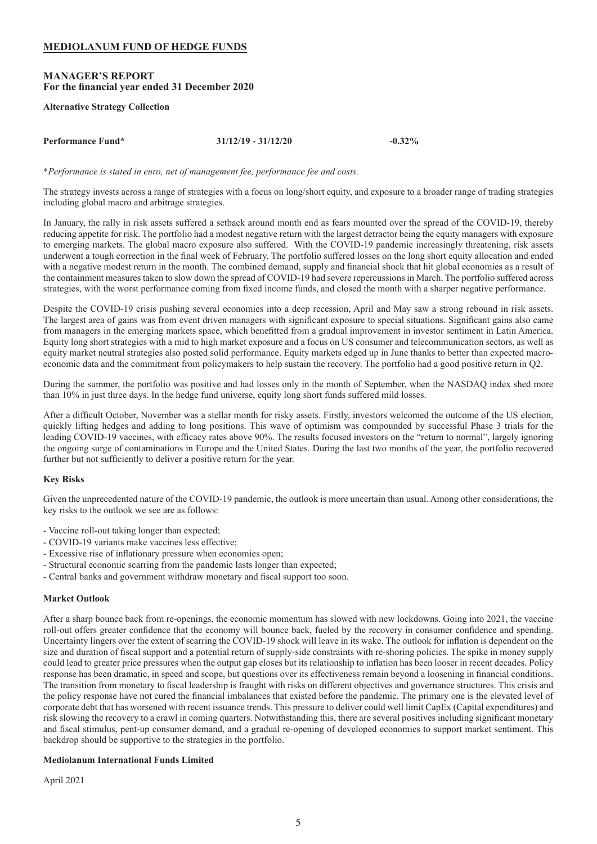# <span id="page-5-0"></span>**MANAGER'S REPORT For the financial year ended 31 December 2020**

### **Alternative Strategy Collection**

**Performance Fund\* 31/12/19 - 31/12/20 -0.32%**

\**Performance is stated in euro, net of management fee, performance fee and costs.*

The strategy invests across a range of strategies with a focus on long/short equity, and exposure to a broader range of trading strategies including global macro and arbitrage strategies.

In January, the rally in risk assets suffered a setback around month end as fears mounted over the spread of the COVID-19, thereby reducing appetite for risk. The portfolio had a modest negative return with the largest detractor being the equity managers with exposure to emerging markets. The global macro exposure also suffered. With the COVID-19 pandemic increasingly threatening, risk assets underwent a tough correction in the final week of February. The portfolio suffered losses on the long short equity allocation and ended with a negative modest return in the month. The combined demand, supply and financial shock that hit global economies as a result of the containment measures taken to slow down the spread of COVID-19 had severe repercussions in March. The portfolio suffered across strategies, with the worst performance coming from fixed income funds, and closed the month with a sharper negative performance.

Despite the COVID-19 crisis pushing several economies into a deep recession, April and May saw a strong rebound in risk assets. The largest area of gains was from event driven managers with significant exposure to special situations. Significant gains also came from managers in the emerging markets space, which benefitted from a gradual improvement in investor sentiment in Latin America. Equity long short strategies with a mid to high market exposure and a focus on US consumer and telecommunication sectors, as well as equity market neutral strategies also posted solid performance. Equity markets edged up in June thanks to better than expected macroeconomic data and the commitment from policymakers to help sustain the recovery. The portfolio had a good positive return in Q2.

During the summer, the portfolio was positive and had losses only in the month of September, when the NASDAQ index shed more than 10% in just three days. In the hedge fund universe, equity long short funds suffered mild losses.

After a difficult October, November was a stellar month for risky assets. Firstly, investors welcomed the outcome of the US election, quickly lifting hedges and adding to long positions. This wave of optimism was compounded by successful Phase 3 trials for the leading COVID-19 vaccines, with efficacy rates above 90%. The results focused investors on the "return to normal", largely ignoring the ongoing surge of contaminations in Europe and the United States. During the last two months of the year, the portfolio recovered further but not sufficiently to deliver a positive return for the year.

# **Key Risks**

Given the unprecedented nature of the COVID-19 pandemic, the outlook is more uncertain than usual. Among other considerations, the key risks to the outlook we see are as follows:

- Vaccine roll-out taking longer than expected;
- COVID-19 variants make vaccines less effective;
- Excessive rise of inflationary pressure when economies open;
- Structural economic scarring from the pandemic lasts longer than expected;
- Central banks and government withdraw monetary and fiscal support too soon.

#### **Market Outlook**

After a sharp bounce back from re-openings, the economic momentum has slowed with new lockdowns. Going into 2021, the vaccine roll-out offers greater confidence that the economy will bounce back, fueled by the recovery in consumer confidence and spending. Uncertainty lingers over the extent of scarring the COVID-19 shock will leave in its wake. The outlook for inflation is dependent on the size and duration of fiscal support and a potential return of supply-side constraints with re-shoring policies. The spike in money supply could lead to greater price pressures when the output gap closes but its relationship to inflation has been looser in recent decades. Policy response has been dramatic, in speed and scope, but questions over its effectiveness remain beyond a loosening in financial conditions. The transition from monetary to fiscal leadership is fraught with risks on different objectives and governance structures. This crisis and the policy response have not cured the financial imbalances that existed before the pandemic. The primary one is the elevated level of corporate debt that has worsened with recent issuance trends. This pressure to deliver could well limit CapEx (Capital expenditures) and risk slowing the recovery to a crawl in coming quarters. Notwithstanding this, there are several positives including significant monetary and fiscal stimulus, pent-up consumer demand, and a gradual re-opening of developed economies to support market sentiment. This backdrop should be supportive to the strategies in the portfolio.

# **Mediolanum International Funds Limited**

April 2021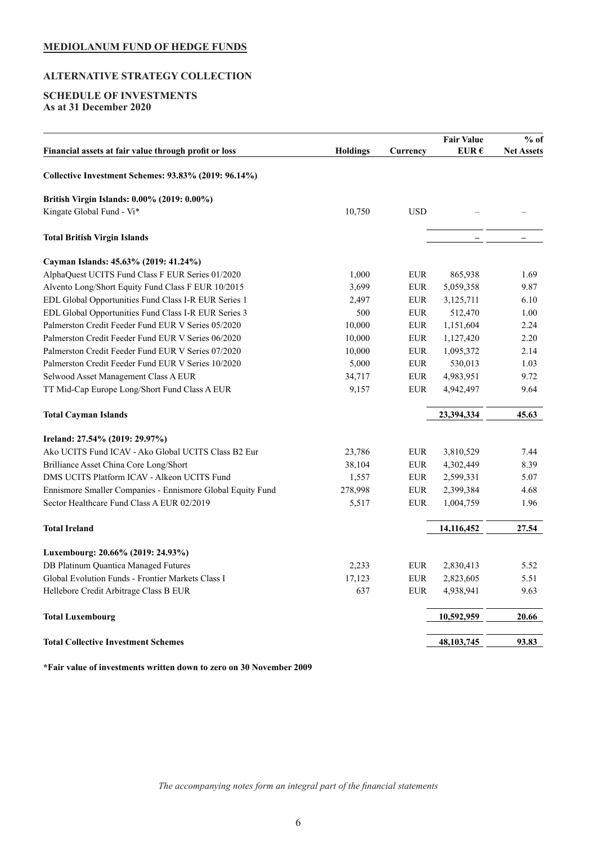# <span id="page-6-0"></span>**ALTERNATIVE STRATEGY COLLECTION**

# **SCHEDULE OF INVESTMENTS As at 31 December 2020**

| Financial assets at fair value through profit or loss<br><b>Holdings</b><br>Currency<br>EUR $\epsilon$<br>Collective Investment Schemes: 93.83% (2019: 96.14%)<br>British Virgin Islands: 0.00% (2019: 0.00%)<br>Kingate Global Fund - Vi*<br>10,750<br><b>USD</b><br><b>Total British Virgin Islands</b><br>Cayman Islands: 45.63% (2019: 41.24%)<br>1,000<br>AlphaQuest UCITS Fund Class F EUR Series 01/2020<br><b>EUR</b><br>865,938<br>Alvento Long/Short Equity Fund Class F EUR 10/2015<br>3,699<br><b>EUR</b><br>5,059,358<br><b>EUR</b><br>EDL Global Opportunities Fund Class I-R EUR Series 1<br>2,497<br>3,125,711<br>EDL Global Opportunities Fund Class I-R EUR Series 3<br><b>EUR</b><br>512,470<br>500<br>10,000<br>Palmerston Credit Feeder Fund EUR V Series 05/2020<br><b>EUR</b><br>1,151,604<br>Palmerston Credit Feeder Fund EUR V Series 06/2020<br>10,000<br><b>EUR</b><br>1,127,420<br>Palmerston Credit Feeder Fund EUR V Series 07/2020<br>10,000<br><b>EUR</b><br>1,095,372<br><b>EUR</b><br>Palmerston Credit Feeder Fund EUR V Series 10/2020<br>5,000<br>530,013<br>34,717<br><b>EUR</b><br>4,983,951<br>Selwood Asset Management Class A EUR<br>TT Mid-Cap Europe Long/Short Fund Class A EUR<br>9,157<br><b>EUR</b><br>4,942,497<br>23,394,334<br><b>Total Cayman Islands</b><br>Ireland: 27.54% (2019: 29.97%)<br>Ako UCITS Fund ICAV - Ako Global UCITS Class B2 Eur<br>23,786<br><b>EUR</b><br>3,810,529<br>Brilliance Asset China Core Long/Short<br>38,104<br><b>EUR</b><br>4,302,449<br>DMS UCITS Platform ICAV - Alkeon UCITS Fund<br><b>EUR</b><br>2,599,331<br>1,557<br>278,998<br>Ennismore Smaller Companies - Ennismore Global Equity Fund<br><b>EUR</b><br>2,399,384<br>Sector Healthcare Fund Class A EUR 02/2019<br>5,517<br><b>EUR</b><br>1,004,759<br><b>Total Ireland</b><br>14,116,452 | <b>Net Assets</b> |
|--------------------------------------------------------------------------------------------------------------------------------------------------------------------------------------------------------------------------------------------------------------------------------------------------------------------------------------------------------------------------------------------------------------------------------------------------------------------------------------------------------------------------------------------------------------------------------------------------------------------------------------------------------------------------------------------------------------------------------------------------------------------------------------------------------------------------------------------------------------------------------------------------------------------------------------------------------------------------------------------------------------------------------------------------------------------------------------------------------------------------------------------------------------------------------------------------------------------------------------------------------------------------------------------------------------------------------------------------------------------------------------------------------------------------------------------------------------------------------------------------------------------------------------------------------------------------------------------------------------------------------------------------------------------------------------------------------------------------------------------------------------------------------------------------------------------------------------------|-------------------|
|                                                                                                                                                                                                                                                                                                                                                                                                                                                                                                                                                                                                                                                                                                                                                                                                                                                                                                                                                                                                                                                                                                                                                                                                                                                                                                                                                                                                                                                                                                                                                                                                                                                                                                                                                                                                                                            |                   |
|                                                                                                                                                                                                                                                                                                                                                                                                                                                                                                                                                                                                                                                                                                                                                                                                                                                                                                                                                                                                                                                                                                                                                                                                                                                                                                                                                                                                                                                                                                                                                                                                                                                                                                                                                                                                                                            |                   |
|                                                                                                                                                                                                                                                                                                                                                                                                                                                                                                                                                                                                                                                                                                                                                                                                                                                                                                                                                                                                                                                                                                                                                                                                                                                                                                                                                                                                                                                                                                                                                                                                                                                                                                                                                                                                                                            |                   |
|                                                                                                                                                                                                                                                                                                                                                                                                                                                                                                                                                                                                                                                                                                                                                                                                                                                                                                                                                                                                                                                                                                                                                                                                                                                                                                                                                                                                                                                                                                                                                                                                                                                                                                                                                                                                                                            |                   |
|                                                                                                                                                                                                                                                                                                                                                                                                                                                                                                                                                                                                                                                                                                                                                                                                                                                                                                                                                                                                                                                                                                                                                                                                                                                                                                                                                                                                                                                                                                                                                                                                                                                                                                                                                                                                                                            |                   |
|                                                                                                                                                                                                                                                                                                                                                                                                                                                                                                                                                                                                                                                                                                                                                                                                                                                                                                                                                                                                                                                                                                                                                                                                                                                                                                                                                                                                                                                                                                                                                                                                                                                                                                                                                                                                                                            |                   |
|                                                                                                                                                                                                                                                                                                                                                                                                                                                                                                                                                                                                                                                                                                                                                                                                                                                                                                                                                                                                                                                                                                                                                                                                                                                                                                                                                                                                                                                                                                                                                                                                                                                                                                                                                                                                                                            | 1.69              |
|                                                                                                                                                                                                                                                                                                                                                                                                                                                                                                                                                                                                                                                                                                                                                                                                                                                                                                                                                                                                                                                                                                                                                                                                                                                                                                                                                                                                                                                                                                                                                                                                                                                                                                                                                                                                                                            | 9.87              |
|                                                                                                                                                                                                                                                                                                                                                                                                                                                                                                                                                                                                                                                                                                                                                                                                                                                                                                                                                                                                                                                                                                                                                                                                                                                                                                                                                                                                                                                                                                                                                                                                                                                                                                                                                                                                                                            | 6.10              |
|                                                                                                                                                                                                                                                                                                                                                                                                                                                                                                                                                                                                                                                                                                                                                                                                                                                                                                                                                                                                                                                                                                                                                                                                                                                                                                                                                                                                                                                                                                                                                                                                                                                                                                                                                                                                                                            | 1.00              |
|                                                                                                                                                                                                                                                                                                                                                                                                                                                                                                                                                                                                                                                                                                                                                                                                                                                                                                                                                                                                                                                                                                                                                                                                                                                                                                                                                                                                                                                                                                                                                                                                                                                                                                                                                                                                                                            | 2.24              |
|                                                                                                                                                                                                                                                                                                                                                                                                                                                                                                                                                                                                                                                                                                                                                                                                                                                                                                                                                                                                                                                                                                                                                                                                                                                                                                                                                                                                                                                                                                                                                                                                                                                                                                                                                                                                                                            | 2.20              |
|                                                                                                                                                                                                                                                                                                                                                                                                                                                                                                                                                                                                                                                                                                                                                                                                                                                                                                                                                                                                                                                                                                                                                                                                                                                                                                                                                                                                                                                                                                                                                                                                                                                                                                                                                                                                                                            | 2.14              |
|                                                                                                                                                                                                                                                                                                                                                                                                                                                                                                                                                                                                                                                                                                                                                                                                                                                                                                                                                                                                                                                                                                                                                                                                                                                                                                                                                                                                                                                                                                                                                                                                                                                                                                                                                                                                                                            | 1.03              |
|                                                                                                                                                                                                                                                                                                                                                                                                                                                                                                                                                                                                                                                                                                                                                                                                                                                                                                                                                                                                                                                                                                                                                                                                                                                                                                                                                                                                                                                                                                                                                                                                                                                                                                                                                                                                                                            | 9.72              |
|                                                                                                                                                                                                                                                                                                                                                                                                                                                                                                                                                                                                                                                                                                                                                                                                                                                                                                                                                                                                                                                                                                                                                                                                                                                                                                                                                                                                                                                                                                                                                                                                                                                                                                                                                                                                                                            | 9.64              |
|                                                                                                                                                                                                                                                                                                                                                                                                                                                                                                                                                                                                                                                                                                                                                                                                                                                                                                                                                                                                                                                                                                                                                                                                                                                                                                                                                                                                                                                                                                                                                                                                                                                                                                                                                                                                                                            | 45.63             |
|                                                                                                                                                                                                                                                                                                                                                                                                                                                                                                                                                                                                                                                                                                                                                                                                                                                                                                                                                                                                                                                                                                                                                                                                                                                                                                                                                                                                                                                                                                                                                                                                                                                                                                                                                                                                                                            |                   |
|                                                                                                                                                                                                                                                                                                                                                                                                                                                                                                                                                                                                                                                                                                                                                                                                                                                                                                                                                                                                                                                                                                                                                                                                                                                                                                                                                                                                                                                                                                                                                                                                                                                                                                                                                                                                                                            | 7.44              |
|                                                                                                                                                                                                                                                                                                                                                                                                                                                                                                                                                                                                                                                                                                                                                                                                                                                                                                                                                                                                                                                                                                                                                                                                                                                                                                                                                                                                                                                                                                                                                                                                                                                                                                                                                                                                                                            | 8.39              |
|                                                                                                                                                                                                                                                                                                                                                                                                                                                                                                                                                                                                                                                                                                                                                                                                                                                                                                                                                                                                                                                                                                                                                                                                                                                                                                                                                                                                                                                                                                                                                                                                                                                                                                                                                                                                                                            | 5.07              |
|                                                                                                                                                                                                                                                                                                                                                                                                                                                                                                                                                                                                                                                                                                                                                                                                                                                                                                                                                                                                                                                                                                                                                                                                                                                                                                                                                                                                                                                                                                                                                                                                                                                                                                                                                                                                                                            | 4.68              |
|                                                                                                                                                                                                                                                                                                                                                                                                                                                                                                                                                                                                                                                                                                                                                                                                                                                                                                                                                                                                                                                                                                                                                                                                                                                                                                                                                                                                                                                                                                                                                                                                                                                                                                                                                                                                                                            | 1.96              |
|                                                                                                                                                                                                                                                                                                                                                                                                                                                                                                                                                                                                                                                                                                                                                                                                                                                                                                                                                                                                                                                                                                                                                                                                                                                                                                                                                                                                                                                                                                                                                                                                                                                                                                                                                                                                                                            | 27.54             |
| Luxembourg: 20.66% (2019: 24.93%)                                                                                                                                                                                                                                                                                                                                                                                                                                                                                                                                                                                                                                                                                                                                                                                                                                                                                                                                                                                                                                                                                                                                                                                                                                                                                                                                                                                                                                                                                                                                                                                                                                                                                                                                                                                                          |                   |
| DB Platinum Quantica Managed Futures<br>2,233<br><b>EUR</b><br>2,830,413                                                                                                                                                                                                                                                                                                                                                                                                                                                                                                                                                                                                                                                                                                                                                                                                                                                                                                                                                                                                                                                                                                                                                                                                                                                                                                                                                                                                                                                                                                                                                                                                                                                                                                                                                                   | 5.52              |
| Global Evolution Funds - Frontier Markets Class I<br>17,123<br><b>EUR</b><br>2,823,605                                                                                                                                                                                                                                                                                                                                                                                                                                                                                                                                                                                                                                                                                                                                                                                                                                                                                                                                                                                                                                                                                                                                                                                                                                                                                                                                                                                                                                                                                                                                                                                                                                                                                                                                                     | 5.51              |
| 637<br><b>EUR</b><br>4,938,941<br>Hellebore Credit Arbitrage Class B EUR                                                                                                                                                                                                                                                                                                                                                                                                                                                                                                                                                                                                                                                                                                                                                                                                                                                                                                                                                                                                                                                                                                                                                                                                                                                                                                                                                                                                                                                                                                                                                                                                                                                                                                                                                                   | 9.63              |
| 10,592,959<br><b>Total Luxembourg</b>                                                                                                                                                                                                                                                                                                                                                                                                                                                                                                                                                                                                                                                                                                                                                                                                                                                                                                                                                                                                                                                                                                                                                                                                                                                                                                                                                                                                                                                                                                                                                                                                                                                                                                                                                                                                      | 20.66             |
| <b>Total Collective Investment Schemes</b><br>48, 103, 745                                                                                                                                                                                                                                                                                                                                                                                                                                                                                                                                                                                                                                                                                                                                                                                                                                                                                                                                                                                                                                                                                                                                                                                                                                                                                                                                                                                                                                                                                                                                                                                                                                                                                                                                                                                 | 93.83             |

**\*Fair value of investments written down to zero on 30 November 2009**

*The accompanying notes form an integral part of the financial statements*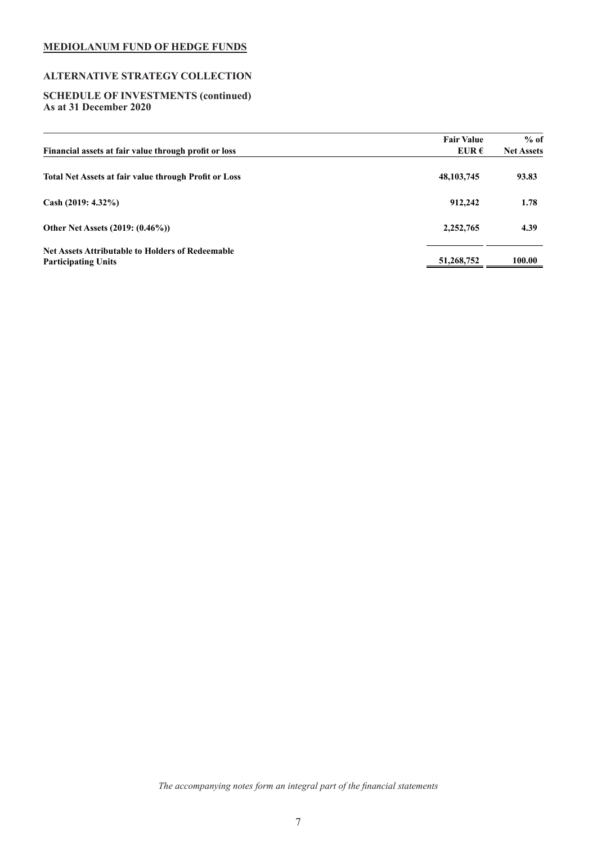# **ALTERNATIVE STRATEGY COLLECTION**

### **SCHEDULE OF INVESTMENTS (continued) As at 31 December 2020**

| Financial assets at fair value through profit or loss                                 | <b>Fair Value</b><br>EUR $\epsilon$ | $%$ of<br><b>Net Assets</b> |
|---------------------------------------------------------------------------------------|-------------------------------------|-----------------------------|
| <b>Total Net Assets at fair value through Profit or Loss</b>                          | 48, 103, 745                        | 93.83                       |
| Cash $(2019: 4.32\%)$                                                                 | 912,242                             | 1.78                        |
| Other Net Assets (2019: (0.46%))                                                      | 2,252,765                           | 4.39                        |
| <b>Net Assets Attributable to Holders of Redeemable</b><br><b>Participating Units</b> | 51,268,752                          | 100.00                      |

*The accompanying notes form an integral part of the financial statements*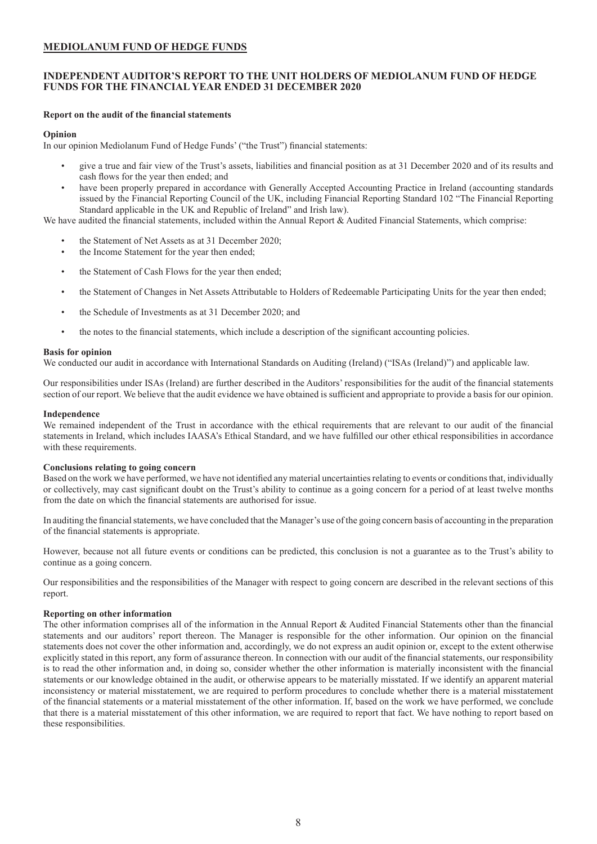# <span id="page-8-0"></span>**INDEPENDENT AUDITOR'S REPORT TO THE UNIT HOLDERS OF MEDIOLANUM FUND OF HEDGE FUNDS FOR THE FINANCIAL YEAR ENDED 31 DECEMBER 2020**

### **Report on the audit of the financial statements**

### **Opinion**

In our opinion Mediolanum Fund of Hedge Funds' ("the Trust") financial statements:

- give a true and fair view of the Trust's assets, liabilities and financial position as at 31 December 2020 and of its results and cash flows for the year then ended; and
- have been properly prepared in accordance with Generally Accepted Accounting Practice in Ireland (accounting standards issued by the Financial Reporting Council of the UK, including Financial Reporting Standard 102 "The Financial Reporting Standard applicable in the UK and Republic of Ireland" and Irish law).

We have audited the financial statements, included within the Annual Report & Audited Financial Statements, which comprise:

- the Statement of Net Assets as at 31 December 2020;
- the Income Statement for the year then ended;
- the Statement of Cash Flows for the year then ended;
- the Statement of Changes in Net Assets Attributable to Holders of Redeemable Participating Units for the year then ended;
- the Schedule of Investments as at 31 December 2020; and
- the notes to the financial statements, which include a description of the significant accounting policies.

### **Basis for opinion**

We conducted our audit in accordance with International Standards on Auditing (Ireland) ("ISAs (Ireland)") and applicable law.

Our responsibilities under ISAs (Ireland) are further described in the Auditors' responsibilities for the audit of the financial statements section of our report. We believe that the audit evidence we have obtained is sufficient and appropriate to provide a basis for our opinion.

# **Independence**

We remained independent of the Trust in accordance with the ethical requirements that are relevant to our audit of the financial statements in Ireland, which includes IAASA's Ethical Standard, and we have fulfilled our other ethical responsibilities in accordance with these requirements.

#### **Conclusions relating to going concern**

Based on the work we have performed, we have not identified any material uncertainties relating to events or conditions that, individually or collectively, may cast significant doubt on the Trust's ability to continue as a going concern for a period of at least twelve months from the date on which the financial statements are authorised for issue.

In auditing the financial statements, we have concluded that the Manager's use of the going concern basis of accounting in the preparation of the financial statements is appropriate.

However, because not all future events or conditions can be predicted, this conclusion is not a guarantee as to the Trust's ability to continue as a going concern.

Our responsibilities and the responsibilities of the Manager with respect to going concern are described in the relevant sections of this report.

#### **Reporting on other information**

The other information comprises all of the information in the Annual Report & Audited Financial Statements other than the financial statements and our auditors' report thereon. The Manager is responsible for the other information. Our opinion on the financial statements does not cover the other information and, accordingly, we do not express an audit opinion or, except to the extent otherwise explicitly stated in this report, any form of assurance thereon. In connection with our audit of the financial statements, our responsibility is to read the other information and, in doing so, consider whether the other information is materially inconsistent with the financial statements or our knowledge obtained in the audit, or otherwise appears to be materially misstated. If we identify an apparent material inconsistency or material misstatement, we are required to perform procedures to conclude whether there is a material misstatement of the financial statements or a material misstatement of the other information. If, based on the work we have performed, we conclude that there is a material misstatement of this other information, we are required to report that fact. We have nothing to report based on these responsibilities.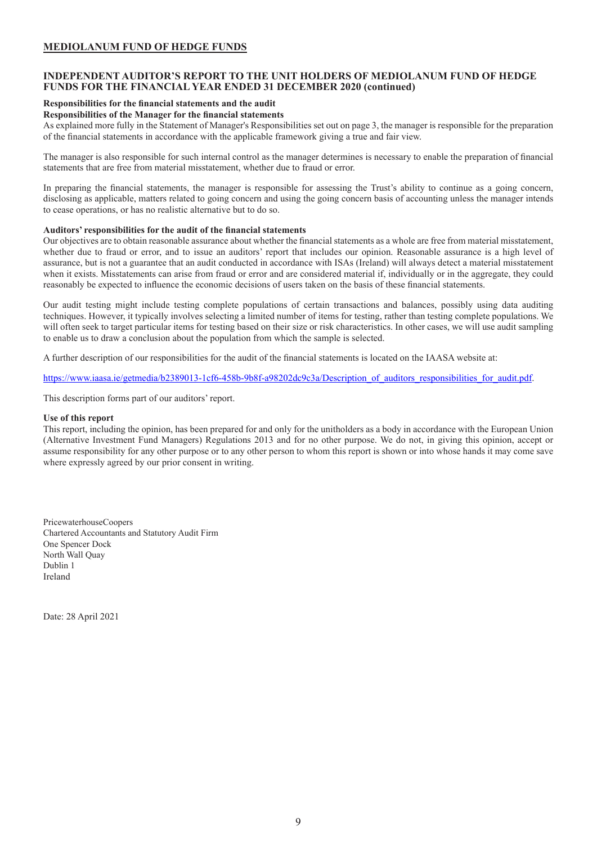# **INDEPENDENT AUDITOR'S REPORT TO THE UNIT HOLDERS OF MEDIOLANUM FUND OF HEDGE FUNDS FOR THE FINANCIAL YEAR ENDED 31 DECEMBER 2020 (continued)**

### **Responsibilities for the financial statements and the audit**

**Responsibilities of the Manager for the financial statements** 

As explained more fully in the Statement of Manager's Responsibilities set out on page 3, the manager is responsible for the preparation of the financial statements in accordance with the applicable framework giving a true and fair view.

The manager is also responsible for such internal control as the manager determines is necessary to enable the preparation of financial statements that are free from material misstatement, whether due to fraud or error.

In preparing the financial statements, the manager is responsible for assessing the Trust's ability to continue as a going concern, disclosing as applicable, matters related to going concern and using the going concern basis of accounting unless the manager intends to cease operations, or has no realistic alternative but to do so.

# **Auditors' responsibilities for the audit of the financial statements**

Our objectives are to obtain reasonable assurance about whether the financial statements as a whole are free from material misstatement, whether due to fraud or error, and to issue an auditors' report that includes our opinion. Reasonable assurance is a high level of assurance, but is not a guarantee that an audit conducted in accordance with ISAs (Ireland) will always detect a material misstatement when it exists. Misstatements can arise from fraud or error and are considered material if, individually or in the aggregate, they could reasonably be expected to influence the economic decisions of users taken on the basis of these financial statements.

Our audit testing might include testing complete populations of certain transactions and balances, possibly using data auditing techniques. However, it typically involves selecting a limited number of items for testing, rather than testing complete populations. We will often seek to target particular items for testing based on their size or risk characteristics. In other cases, we will use audit sampling to enable us to draw a conclusion about the population from which the sample is selected.

A further description of our responsibilities for the audit of the financial statements is located on the IAASA website at:

https://www.iaasa.ie/getmedia/b2389013-1cf6-458b-9b8f-a98202dc9c3a/Description\_of\_auditors\_responsibilities\_for\_audit.pdf.

This description forms part of our auditors' report.

### **Use of this report**

This report, including the opinion, has been prepared for and only for the unitholders as a body in accordance with the European Union (Alternative Investment Fund Managers) Regulations 2013 and for no other purpose. We do not, in giving this opinion, accept or assume responsibility for any other purpose or to any other person to whom this report is shown or into whose hands it may come save where expressly agreed by our prior consent in writing.

PricewaterhouseCoopers Chartered Accountants and Statutory Audit Firm One Spencer Dock North Wall Quay Dublin 1 Ireland

Date: 28 April 2021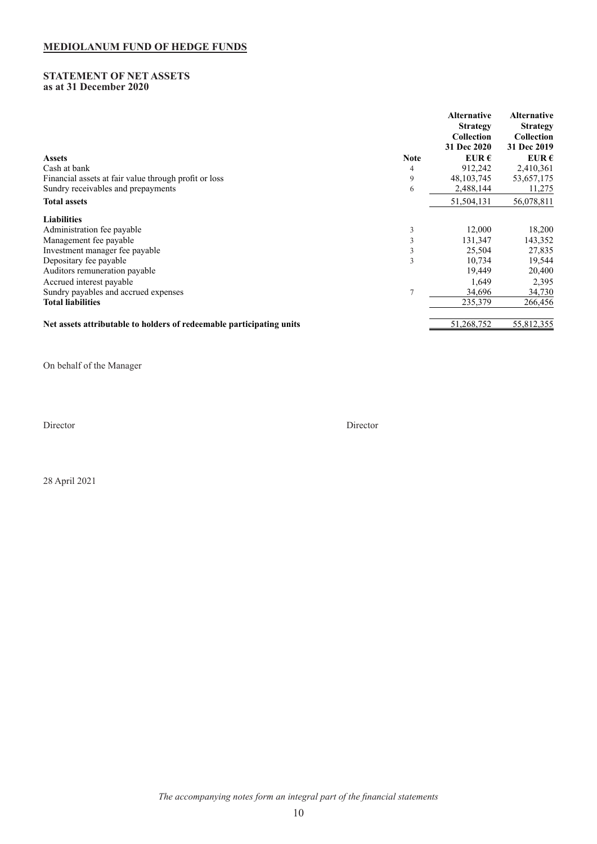# <span id="page-10-0"></span>**STATEMENT OF NET ASSETS as at 31 December 2020**

|                                                                      |             | <b>Alternative</b><br><b>Strategy</b><br><b>Collection</b><br>31 Dec 2020 | <b>Alternative</b><br><b>Strategy</b><br><b>Collection</b><br>31 Dec 2019 |
|----------------------------------------------------------------------|-------------|---------------------------------------------------------------------------|---------------------------------------------------------------------------|
| <b>Assets</b>                                                        | <b>Note</b> | EUR $\epsilon$                                                            | EUR $\epsilon$                                                            |
| Cash at bank                                                         | 4           | 912,242                                                                   | 2,410,361                                                                 |
| Financial assets at fair value through profit or loss                | 9           | 48, 103, 745                                                              | 53,657,175                                                                |
| Sundry receivables and prepayments                                   | 6           | 2,488,144                                                                 | 11,275                                                                    |
| <b>Total assets</b>                                                  |             | 51,504,131                                                                | 56,078,811                                                                |
| <b>Liabilities</b>                                                   |             |                                                                           |                                                                           |
| Administration fee payable                                           | 3           | 12,000                                                                    | 18,200                                                                    |
| Management fee payable                                               | 3           | 131,347                                                                   | 143,352                                                                   |
| Investment manager fee payable                                       | 3           | 25,504                                                                    | 27,835                                                                    |
| Depositary fee payable                                               | 3           | 10,734                                                                    | 19,544                                                                    |
| Auditors remuneration payable                                        |             | 19.449                                                                    | 20,400                                                                    |
| Accrued interest payable                                             |             | 1,649                                                                     | 2,395                                                                     |
| Sundry payables and accrued expenses                                 |             | 34,696                                                                    | 34,730                                                                    |
| <b>Total liabilities</b>                                             |             | 235,379                                                                   | 266,456                                                                   |
| Net assets attributable to holders of redeemable participating units |             | 51,268,752                                                                | 55,812,355                                                                |

On behalf of the Manager

Director Director

28 April 2021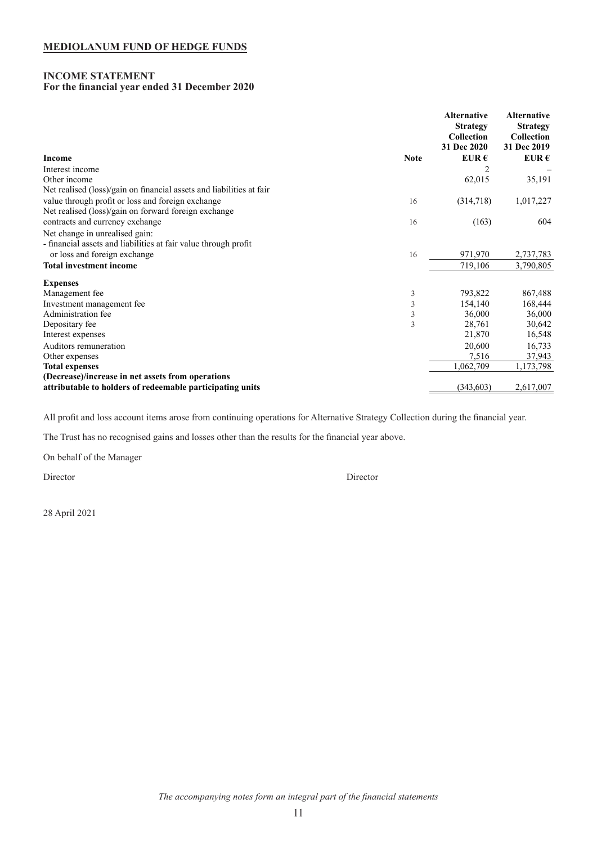# <span id="page-11-0"></span>**INCOME STATEMENT For the financial year ended 31 December 2020**

|                                                                      | <b>Alternative</b><br><b>Strategy</b><br>Collection<br>31 Dec 2020 | <b>Alternative</b><br><b>Strategy</b><br>Collection<br>31 Dec 2019 |
|----------------------------------------------------------------------|--------------------------------------------------------------------|--------------------------------------------------------------------|
| <b>Income</b><br><b>Note</b>                                         | EUR $\epsilon$                                                     | EUR $\epsilon$                                                     |
| Interest income                                                      |                                                                    |                                                                    |
| Other income                                                         | 62,015                                                             | 35,191                                                             |
| Net realised (loss)/gain on financial assets and liabilities at fair |                                                                    |                                                                    |
| value through profit or loss and foreign exchange<br>16              | (314,718)                                                          | 1,017,227                                                          |
| Net realised (loss)/gain on forward foreign exchange                 |                                                                    |                                                                    |
| contracts and currency exchange<br>16                                | (163)                                                              | 604                                                                |
| Net change in unrealised gain:                                       |                                                                    |                                                                    |
| - financial assets and liabilities at fair value through profit      |                                                                    |                                                                    |
| or loss and foreign exchange<br>16                                   | 971,970                                                            | 2,737,783                                                          |
| <b>Total investment income</b>                                       | 719,106                                                            | 3,790,805                                                          |
| <b>Expenses</b>                                                      |                                                                    |                                                                    |
| Management fee<br>3                                                  | 793,822                                                            | 867,488                                                            |
| $\mathfrak{Z}$<br>Investment management fee                          | 154,140                                                            | 168,444                                                            |
| $\mathfrak z$<br>Administration fee                                  | 36,000                                                             | 36,000                                                             |
| Depositary fee<br>3                                                  | 28,761                                                             | 30,642                                                             |
| Interest expenses                                                    | 21,870                                                             | 16,548                                                             |
| Auditors remuneration                                                | 20,600                                                             | 16,733                                                             |
| Other expenses                                                       | 7,516                                                              | 37,943                                                             |
| <b>Total expenses</b>                                                | 1,062,709                                                          | 1,173,798                                                          |
| (Decrease)/increase in net assets from operations                    |                                                                    |                                                                    |
| attributable to holders of redeemable participating units            | (343,603)                                                          | 2,617,007                                                          |

All profit and loss account items arose from continuing operations for Alternative Strategy Collection during the financial year.

The Trust has no recognised gains and losses other than the results for the financial year above.

On behalf of the Manager

Director Director

28 April 2021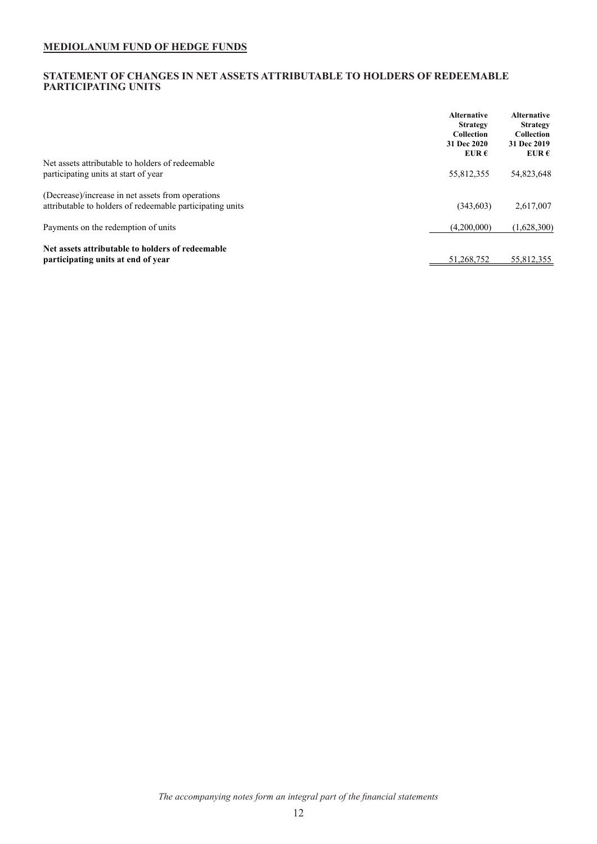# <span id="page-12-0"></span>**STATEMENT OF CHANGES IN NET ASSETS ATTRIBUTABLE TO HOLDERS OF REDEEMABLE PARTICIPATING UNITS**

|                                                           | <b>Alternative</b><br><b>Strategy</b><br><b>Collection</b><br>31 Dec 2020<br>EUR $\epsilon$ | <b>Alternative</b><br><b>Strategy</b><br><b>Collection</b><br>31 Dec 2019<br>EUR $\epsilon$ |
|-----------------------------------------------------------|---------------------------------------------------------------------------------------------|---------------------------------------------------------------------------------------------|
| Net assets attributable to holders of redeemable          |                                                                                             |                                                                                             |
| participating units at start of year                      | 55,812,355                                                                                  | 54,823,648                                                                                  |
| (Decrease)/increase in net assets from operations         |                                                                                             |                                                                                             |
| attributable to holders of redeemable participating units | (343,603)                                                                                   | 2,617,007                                                                                   |
| Payments on the redemption of units                       | (4,200,000)                                                                                 | (1,628,300)                                                                                 |
| Net assets attributable to holders of redeemable          |                                                                                             |                                                                                             |
| participating units at end of year                        | 51.268.752                                                                                  | 55.812.355                                                                                  |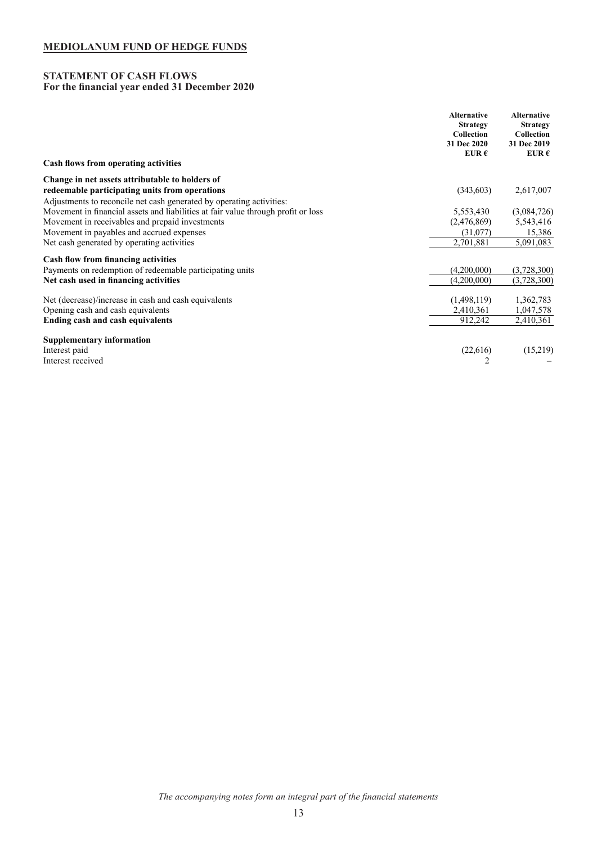### <span id="page-13-0"></span>**STATEMENT OF CASH FLOWS For the financial year ended 31 December 2020**

|                                                                                                                        | <b>Alternative</b><br><b>Strategy</b><br>Collection<br>31 Dec 2020<br>EUR $\epsilon$ | <b>Alternative</b><br><b>Strategy</b><br>Collection<br>31 Dec 2019<br>EUR $\epsilon$ |
|------------------------------------------------------------------------------------------------------------------------|--------------------------------------------------------------------------------------|--------------------------------------------------------------------------------------|
| Cash flows from operating activities                                                                                   |                                                                                      |                                                                                      |
| Change in net assets attributable to holders of                                                                        |                                                                                      |                                                                                      |
| redeemable participating units from operations<br>Adjustments to reconcile net cash generated by operating activities: | (343,603)                                                                            | 2,617,007                                                                            |
| Movement in financial assets and liabilities at fair value through profit or loss                                      | 5,553,430                                                                            | (3,084,726)                                                                          |
| Movement in receivables and prepaid investments                                                                        | (2,476,869)                                                                          | 5,543,416                                                                            |
| Movement in payables and accrued expenses                                                                              | (31,077)                                                                             | 15,386                                                                               |
| Net cash generated by operating activities                                                                             | 2,701,881                                                                            | 5,091,083                                                                            |
| <b>Cash flow from financing activities</b>                                                                             |                                                                                      |                                                                                      |
| Payments on redemption of redeemable participating units                                                               | (4,200,000)                                                                          | (3,728,300)                                                                          |
| Net cash used in financing activities                                                                                  | (4,200,000)                                                                          | (3,728,300)                                                                          |
| Net (decrease)/increase in cash and cash equivalents                                                                   | (1,498,119)                                                                          | 1,362,783                                                                            |
| Opening cash and cash equivalents                                                                                      | 2,410,361                                                                            | 1,047,578                                                                            |
| Ending cash and cash equivalents                                                                                       | 912,242                                                                              | 2,410,361                                                                            |
| <b>Supplementary information</b>                                                                                       |                                                                                      |                                                                                      |
| Interest paid                                                                                                          | (22,616)                                                                             | (15,219)                                                                             |
| Interest received                                                                                                      | 2                                                                                    |                                                                                      |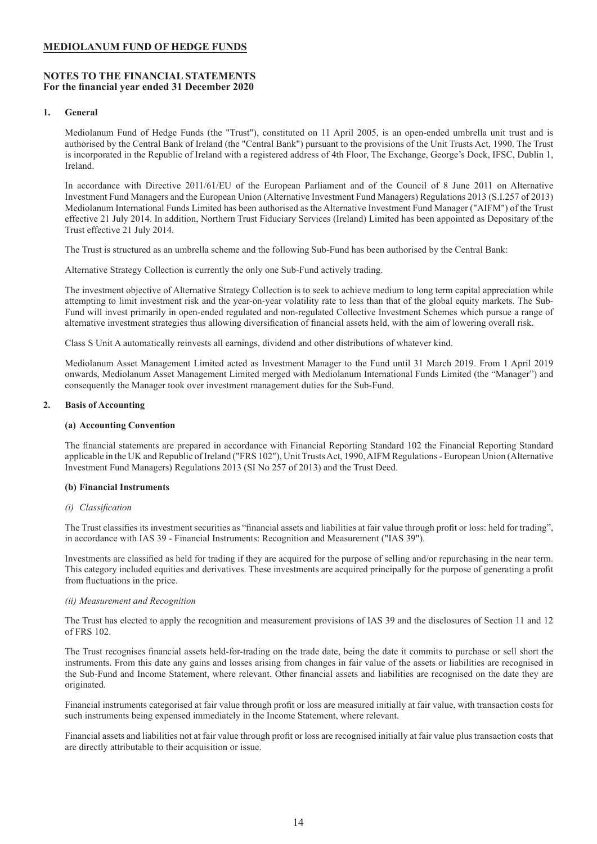# <span id="page-14-0"></span>**NOTES TO THE FINANCIAL STATEMENTS For the financial year ended 31 December 2020**

# **1. General**

Mediolanum Fund of Hedge Funds (the "Trust"), constituted on 11 April 2005, is an open-ended umbrella unit trust and is authorised by the Central Bank of Ireland (the "Central Bank") pursuant to the provisions of the Unit Trusts Act, 1990. The Trust is incorporated in the Republic of Ireland with a registered address of 4th Floor, The Exchange, George's Dock, IFSC, Dublin 1, Ireland.

In accordance with Directive 2011/61/EU of the European Parliament and of the Council of 8 June 2011 on Alternative Investment Fund Managers and the European Union (Alternative Investment Fund Managers) Regulations 2013 (S.I.257 of 2013) Mediolanum International Funds Limited has been authorised as the Alternative Investment Fund Manager ("AIFM") of the Trust effective 21 July 2014. In addition, Northern Trust Fiduciary Services (Ireland) Limited has been appointed as Depositary of the Trust effective 21 July 2014.

The Trust is structured as an umbrella scheme and the following Sub-Fund has been authorised by the Central Bank:

Alternative Strategy Collection is currently the only one Sub-Fund actively trading.

The investment objective of Alternative Strategy Collection is to seek to achieve medium to long term capital appreciation while attempting to limit investment risk and the year-on-year volatility rate to less than that of the global equity markets. The Sub-Fund will invest primarily in open-ended regulated and non-regulated Collective Investment Schemes which pursue a range of alternative investment strategies thus allowing diversification of financial assets held, with the aim of lowering overall risk.

Class S Unit A automatically reinvests all earnings, dividend and other distributions of whatever kind.

Mediolanum Asset Management Limited acted as Investment Manager to the Fund until 31 March 2019. From 1 April 2019 onwards, Mediolanum Asset Management Limited merged with Mediolanum International Funds Limited (the "Manager") and consequently the Manager took over investment management duties for the Sub-Fund.

# **2. Basis of Accounting**

#### **(a) Accounting Convention**

The financial statements are prepared in accordance with Financial Reporting Standard 102 the Financial Reporting Standard applicable in the UK and Republic of Ireland ("FRS 102"), Unit Trusts Act, 1990, AIFM Regulations - European Union (Alternative Investment Fund Managers) Regulations 2013 (SI No 257 of 2013) and the Trust Deed.

#### **(b) Financial Instruments**

#### *(i) Classification*

The Trust classifies its investment securities as "financial assets and liabilities at fair value through profit or loss: held for trading", in accordance with IAS 39 - Financial Instruments: Recognition and Measurement ("IAS 39").

Investments are classified as held for trading if they are acquired for the purpose of selling and/or repurchasing in the near term. This category included equities and derivatives. These investments are acquired principally for the purpose of generating a profit from fluctuations in the price.

# *(ii) Measurement and Recognition*

The Trust has elected to apply the recognition and measurement provisions of IAS 39 and the disclosures of Section 11 and 12 of FRS 102.

The Trust recognises financial assets held-for-trading on the trade date, being the date it commits to purchase or sell short the instruments. From this date any gains and losses arising from changes in fair value of the assets or liabilities are recognised in the Sub-Fund and Income Statement, where relevant. Other financial assets and liabilities are recognised on the date they are originated.

Financial instruments categorised at fair value through profit or loss are measured initially at fair value, with transaction costs for such instruments being expensed immediately in the Income Statement, where relevant.

Financial assets and liabilities not at fair value through profit or loss are recognised initially at fair value plus transaction costs that are directly attributable to their acquisition or issue.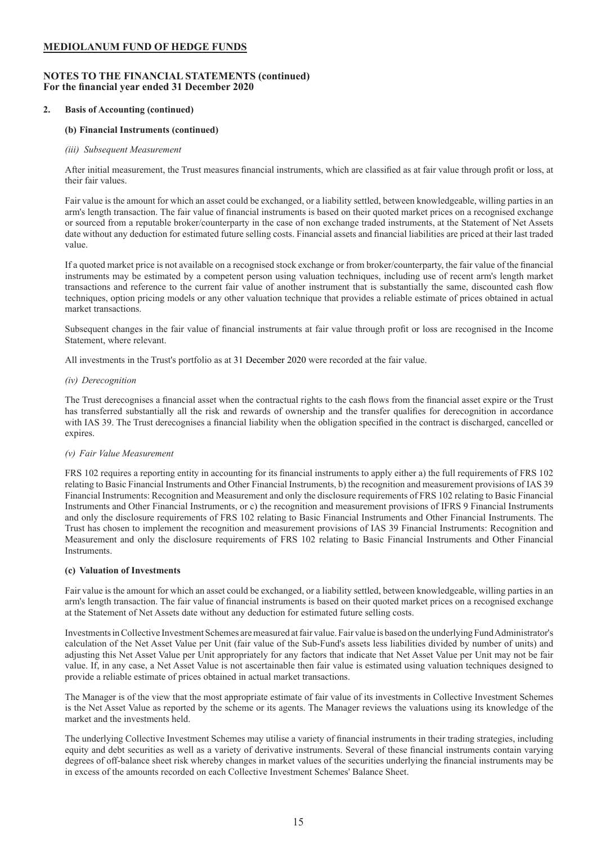# **NOTES TO THE FINANCIAL STATEMENTS (continued) For the financial year ended 31 December 2020**

# **2. Basis of Accounting (continued)**

# **(b) Financial Instruments (continued)**

# *(iii) Subsequent Measurement*

After initial measurement, the Trust measures financial instruments, which are classified as at fair value through profit or loss, at their fair values.

Fair value is the amount for which an asset could be exchanged, or a liability settled, between knowledgeable, willing parties in an arm's length transaction. The fair value of financial instruments is based on their quoted market prices on a recognised exchange or sourced from a reputable broker/counterparty in the case of non exchange traded instruments, at the Statement of Net Assets date without any deduction for estimated future selling costs. Financial assets and financial liabilities are priced at their last traded value.

If a quoted market price is not available on a recognised stock exchange or from broker/counterparty, the fair value of the financial instruments may be estimated by a competent person using valuation techniques, including use of recent arm's length market transactions and reference to the current fair value of another instrument that is substantially the same, discounted cash flow techniques, option pricing models or any other valuation technique that provides a reliable estimate of prices obtained in actual market transactions.

Subsequent changes in the fair value of financial instruments at fair value through profit or loss are recognised in the Income Statement, where relevant.

All investments in the Trust's portfolio as at 31 December 2020 were recorded at the fair value.

### *(iv) Derecognition*

The Trust derecognises a financial asset when the contractual rights to the cash flows from the financial asset expire or the Trust has transferred substantially all the risk and rewards of ownership and the transfer qualifies for derecognition in accordance with IAS 39. The Trust derecognises a financial liability when the obligation specified in the contract is discharged, cancelled or expires.

# *(v) Fair Value Measurement*

FRS 102 requires a reporting entity in accounting for its financial instruments to apply either a) the full requirements of FRS 102 relating to Basic Financial Instruments and Other Financial Instruments, b) the recognition and measurement provisions of IAS 39 Financial Instruments: Recognition and Measurement and only the disclosure requirements of FRS 102 relating to Basic Financial Instruments and Other Financial Instruments, or c) the recognition and measurement provisions of IFRS 9 Financial Instruments and only the disclosure requirements of FRS 102 relating to Basic Financial Instruments and Other Financial Instruments. The Trust has chosen to implement the recognition and measurement provisions of IAS 39 Financial Instruments: Recognition and Measurement and only the disclosure requirements of FRS 102 relating to Basic Financial Instruments and Other Financial Instruments.

# **(c) Valuation of Investments**

Fair value is the amount for which an asset could be exchanged, or a liability settled, between knowledgeable, willing parties in an arm's length transaction. The fair value of financial instruments is based on their quoted market prices on a recognised exchange at the Statement of Net Assets date without any deduction for estimated future selling costs.

Investments in Collective Investment Schemes are measured at fair value. Fair value is based on the underlying Fund Administrator's calculation of the Net Asset Value per Unit (fair value of the Sub-Fund's assets less liabilities divided by number of units) and adjusting this Net Asset Value per Unit appropriately for any factors that indicate that Net Asset Value per Unit may not be fair value. If, in any case, a Net Asset Value is not ascertainable then fair value is estimated using valuation techniques designed to provide a reliable estimate of prices obtained in actual market transactions.

The Manager is of the view that the most appropriate estimate of fair value of its investments in Collective Investment Schemes is the Net Asset Value as reported by the scheme or its agents. The Manager reviews the valuations using its knowledge of the market and the investments held.

The underlying Collective Investment Schemes may utilise a variety of financial instruments in their trading strategies, including equity and debt securities as well as a variety of derivative instruments. Several of these financial instruments contain varying degrees of off-balance sheet risk whereby changes in market values of the securities underlying the financial instruments may be in excess of the amounts recorded on each Collective Investment Schemes' Balance Sheet.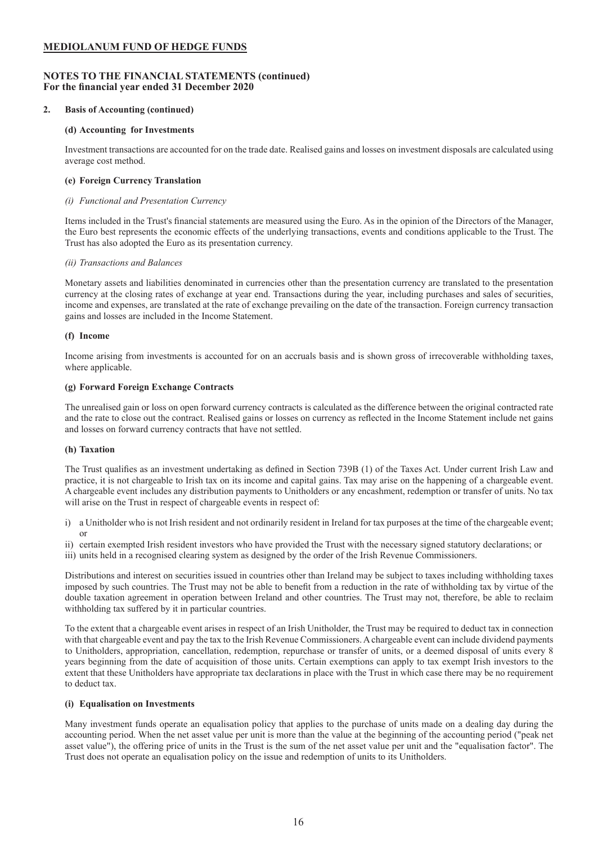# **NOTES TO THE FINANCIAL STATEMENTS (continued) For the financial year ended 31 December 2020**

# **2. Basis of Accounting (continued)**

### **(d) Accounting for Investments**

Investment transactions are accounted for on the trade date. Realised gains and losses on investment disposals are calculated using average cost method.

### **(e) Foreign Currency Translation**

### *(i) Functional and Presentation Currency*

Items included in the Trust's financial statements are measured using the Euro. As in the opinion of the Directors of the Manager, the Euro best represents the economic effects of the underlying transactions, events and conditions applicable to the Trust. The Trust has also adopted the Euro as its presentation currency.

### *(ii) Transactions and Balances*

Monetary assets and liabilities denominated in currencies other than the presentation currency are translated to the presentation currency at the closing rates of exchange at year end. Transactions during the year, including purchases and sales of securities, income and expenses, are translated at the rate of exchange prevailing on the date of the transaction. Foreign currency transaction gains and losses are included in the Income Statement.

### **(f) Income**

Income arising from investments is accounted for on an accruals basis and is shown gross of irrecoverable withholding taxes, where applicable.

### **(g) Forward Foreign Exchange Contracts**

The unrealised gain or loss on open forward currency contracts is calculated as the difference between the original contracted rate and the rate to close out the contract. Realised gains or losses on currency as reflected in the Income Statement include net gains and losses on forward currency contracts that have not settled.

# **(h) Taxation**

The Trust qualifies as an investment undertaking as defined in Section 739B (1) of the Taxes Act. Under current Irish Law and practice, it is not chargeable to Irish tax on its income and capital gains. Tax may arise on the happening of a chargeable event. A chargeable event includes any distribution payments to Unitholders or any encashment, redemption or transfer of units. No tax will arise on the Trust in respect of chargeable events in respect of:

- i) a Unitholder who is not Irish resident and not ordinarily resident in Ireland for tax purposes at the time of the chargeable event; or
- ii) certain exempted Irish resident investors who have provided the Trust with the necessary signed statutory declarations; or
- iii) units held in a recognised clearing system as designed by the order of the Irish Revenue Commissioners.

Distributions and interest on securities issued in countries other than Ireland may be subject to taxes including withholding taxes imposed by such countries. The Trust may not be able to benefit from a reduction in the rate of withholding tax by virtue of the double taxation agreement in operation between Ireland and other countries. The Trust may not, therefore, be able to reclaim withholding tax suffered by it in particular countries.

To the extent that a chargeable event arises in respect of an Irish Unitholder, the Trust may be required to deduct tax in connection with that chargeable event and pay the tax to the Irish Revenue Commissioners. A chargeable event can include dividend payments to Unitholders, appropriation, cancellation, redemption, repurchase or transfer of units, or a deemed disposal of units every 8 years beginning from the date of acquisition of those units. Certain exemptions can apply to tax exempt Irish investors to the extent that these Unitholders have appropriate tax declarations in place with the Trust in which case there may be no requirement to deduct tax.

### **(i) Equalisation on Investments**

Many investment funds operate an equalisation policy that applies to the purchase of units made on a dealing day during the accounting period. When the net asset value per unit is more than the value at the beginning of the accounting period ("peak net asset value"), the offering price of units in the Trust is the sum of the net asset value per unit and the "equalisation factor". The Trust does not operate an equalisation policy on the issue and redemption of units to its Unitholders.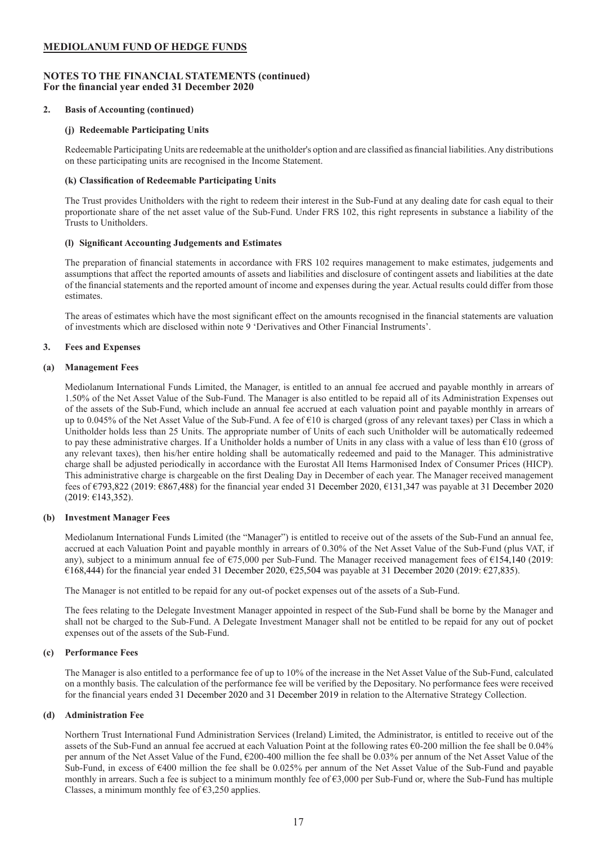# **NOTES TO THE FINANCIAL STATEMENTS (continued) For the financial year ended 31 December 2020**

# **2. Basis of Accounting (continued)**

### **(j) Redeemable Participating Units**

Redeemable Participating Units are redeemable at the unitholder's option and are classified as financial liabilities. Any distributions on these participating units are recognised in the Income Statement.

### **(k) Classification of Redeemable Participating Units**

The Trust provides Unitholders with the right to redeem their interest in the Sub-Fund at any dealing date for cash equal to their proportionate share of the net asset value of the Sub-Fund. Under FRS 102, this right represents in substance a liability of the Trusts to Unitholders.

### **(l) Significant Accounting Judgements and Estimates**

The preparation of financial statements in accordance with FRS 102 requires management to make estimates, judgements and assumptions that affect the reported amounts of assets and liabilities and disclosure of contingent assets and liabilities at the date of the financial statements and the reported amount of income and expenses during the year. Actual results could differ from those estimates.

The areas of estimates which have the most significant effect on the amounts recognised in the financial statements are valuation of investments which are disclosed within note 9 'Derivatives and Other Financial Instruments'.

# **3. Fees and Expenses**

### **(a) Management Fees**

Mediolanum International Funds Limited, the Manager, is entitled to an annual fee accrued and payable monthly in arrears of 1.50% of the Net Asset Value of the Sub-Fund. The Manager is also entitled to be repaid all of its Administration Expenses out of the assets of the Sub-Fund, which include an annual fee accrued at each valuation point and payable monthly in arrears of up to 0.045% of the Net Asset Value of the Sub-Fund. A fee of €10 is charged (gross of any relevant taxes) per Class in which a Unitholder holds less than 25 Units. The appropriate number of Units of each such Unitholder will be automatically redeemed to pay these administrative charges. If a Unitholder holds a number of Units in any class with a value of less than €10 (gross of any relevant taxes), then his/her entire holding shall be automatically redeemed and paid to the Manager. This administrative charge shall be adjusted periodically in accordance with the Eurostat All Items Harmonised Index of Consumer Prices (HICP). This administrative charge is chargeable on the first Dealing Day in December of each year. The Manager received management fees of €793,822 (2019: €867,488) for the financial year ended 31 December 2020, €131,347 was payable at 31 December 2020 (2019: €143,352).

#### **(b) Investment Manager Fees**

Mediolanum International Funds Limited (the "Manager") is entitled to receive out of the assets of the Sub-Fund an annual fee, accrued at each Valuation Point and payable monthly in arrears of 0.30% of the Net Asset Value of the Sub-Fund (plus VAT, if any), subject to a minimum annual fee of  $\epsilon$ 75,000 per Sub-Fund. The Manager received management fees of  $\epsilon$ 154,140 (2019: €168,444) for the financial year ended 31 December 2020, €25,504 was payable at 31 December 2020 (2019: €27,835).

The Manager is not entitled to be repaid for any out-of pocket expenses out of the assets of a Sub-Fund.

The fees relating to the Delegate Investment Manager appointed in respect of the Sub-Fund shall be borne by the Manager and shall not be charged to the Sub-Fund. A Delegate Investment Manager shall not be entitled to be repaid for any out of pocket expenses out of the assets of the Sub-Fund.

### **(c) Performance Fees**

The Manager is also entitled to a performance fee of up to 10% of the increase in the Net Asset Value of the Sub-Fund, calculated on a monthly basis. The calculation of the performance fee will be verified by the Depositary. No performance fees were received for the financial years ended 31 December 2020 and 31 December 2019 in relation to the Alternative Strategy Collection.

#### **(d) Administration Fee**

Northern Trust International Fund Administration Services (Ireland) Limited, the Administrator, is entitled to receive out of the assets of the Sub-Fund an annual fee accrued at each Valuation Point at the following rates €0-200 million the fee shall be 0.04% per annum of the Net Asset Value of the Fund, €200-400 million the fee shall be 0.03% per annum of the Net Asset Value of the Sub-Fund, in excess of €400 million the fee shall be 0.025% per annum of the Net Asset Value of the Sub-Fund and payable monthly in arrears. Such a fee is subject to a minimum monthly fee of  $\epsilon$ 3,000 per Sub-Fund or, where the Sub-Fund has multiple Classes, a minimum monthly fee of  $\epsilon$ 3,250 applies.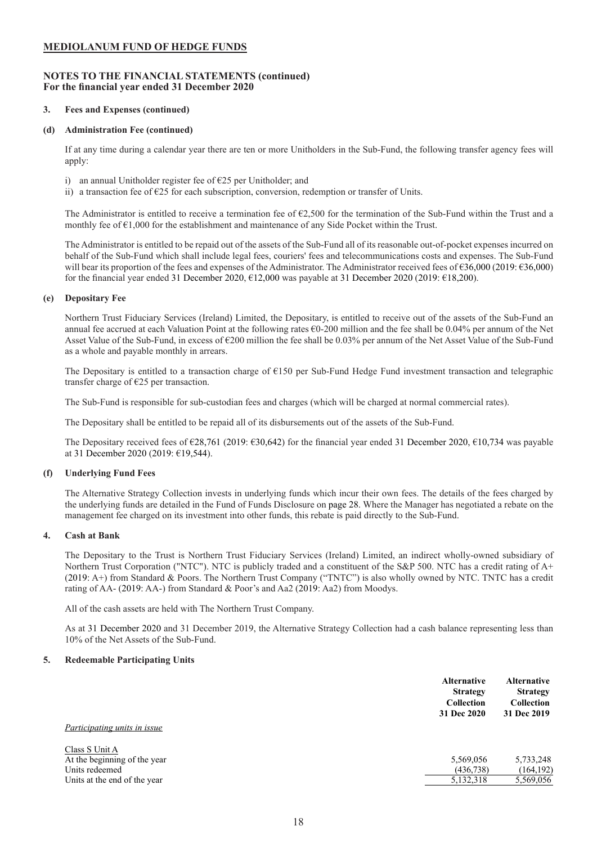# **NOTES TO THE FINANCIAL STATEMENTS (continued) For the financial year ended 31 December 2020**

### **3. Fees and Expenses (continued)**

### **(d) Administration Fee (continued)**

If at any time during a calendar year there are ten or more Unitholders in the Sub-Fund, the following transfer agency fees will apply:

- i) an annual Unitholder register fee of  $E$ 25 per Unitholder; and
- ii) a transaction fee of €25 for each subscription, conversion, redemption or transfer of Units.

The Administrator is entitled to receive a termination fee of  $E2,500$  for the termination of the Sub-Fund within the Trust and a monthly fee of  $\epsilon$ 1,000 for the establishment and maintenance of any Side Pocket within the Trust.

The Administrator is entitled to be repaid out of the assets of the Sub-Fund all of its reasonable out-of-pocket expenses incurred on behalf of the Sub-Fund which shall include legal fees, couriers' fees and telecommunications costs and expenses. The Sub-Fund will bear its proportion of the fees and expenses of the Administrator. The Administrator received fees of €36,000 (2019: €36,000) for the financial year ended 31 December 2020, €12,000 was payable at 31 December 2020 (2019: €18,200).

### **(e) Depositary Fee**

Northern Trust Fiduciary Services (Ireland) Limited, the Depositary, is entitled to receive out of the assets of the Sub-Fund an annual fee accrued at each Valuation Point at the following rates €0-200 million and the fee shall be 0.04% per annum of the Net Asset Value of the Sub-Fund, in excess of €200 million the fee shall be 0.03% per annum of the Net Asset Value of the Sub-Fund as a whole and payable monthly in arrears.

The Depositary is entitled to a transaction charge of €150 per Sub-Fund Hedge Fund investment transaction and telegraphic transfer charge of €25 per transaction.

The Sub-Fund is responsible for sub-custodian fees and charges (which will be charged at normal commercial rates).

The Depositary shall be entitled to be repaid all of its disbursements out of the assets of the Sub-Fund.

The Depositary received fees of €28,761 (2019: €30,642) for the financial year ended 31 December 2020, €10,734 was payable at 31 December 2020 (2019: €19,544).

# **(f) Underlying Fund Fees**

The Alternative Strategy Collection invests in underlying funds which incur their own fees. The details of the fees charged by the underlying funds are detailed in the Fund of Funds Disclosure on page 28. Where the Manager has negotiated a rebate on the management fee charged on its investment into other funds, this rebate is paid directly to the Sub-Fund.

# **4. Cash at Bank**

The Depositary to the Trust is Northern Trust Fiduciary Services (Ireland) Limited, an indirect wholly-owned subsidiary of Northern Trust Corporation ("NTC"). NTC is publicly traded and a constituent of the S&P 500. NTC has a credit rating of A+ (2019: A+) from Standard & Poors. The Northern Trust Company ("TNTC") is also wholly owned by NTC. TNTC has a credit rating of AA- (2019: AA-) from Standard & Poor's and Aa2 (2019: Aa2) from Moodys.

All of the cash assets are held with The Northern Trust Company.

As at 31 December 2020 and 31 December 2019, the Alternative Strategy Collection had a cash balance representing less than 10% of the Net Assets of the Sub-Fund.

#### **5. Redeemable Participating Units**

|                                     | <b>Alternative</b><br><b>Strategy</b><br><b>Collection</b><br>31 Dec 2020 | <b>Alternative</b><br><b>Strategy</b><br><b>Collection</b><br>31 Dec 2019 |
|-------------------------------------|---------------------------------------------------------------------------|---------------------------------------------------------------------------|
| <i>Participating units in issue</i> |                                                                           |                                                                           |
| Class S Unit A                      |                                                                           |                                                                           |
| At the beginning of the year        | 5,569,056                                                                 | 5,733,248                                                                 |
| Units redeemed                      | (436,738)                                                                 | (164, 192)                                                                |
| Units at the end of the year        | 5,132,318                                                                 | 5,569,056                                                                 |
|                                     |                                                                           |                                                                           |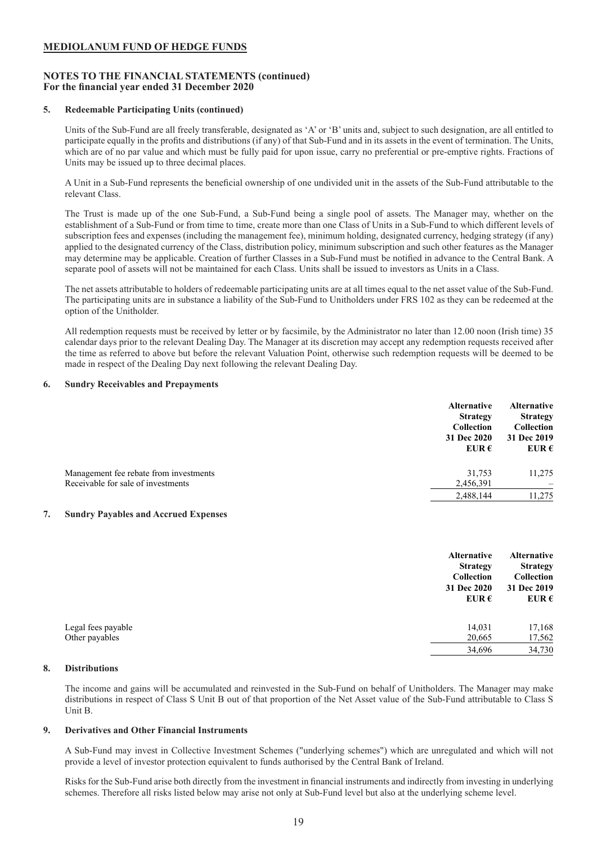# **NOTES TO THE FINANCIAL STATEMENTS (continued) For the financial year ended 31 December 2020**

### **5. Redeemable Participating Units (continued)**

Units of the Sub-Fund are all freely transferable, designated as 'A' or 'B' units and, subject to such designation, are all entitled to participate equally in the profits and distributions (if any) of that Sub-Fund and in its assets in the event of termination. The Units, which are of no par value and which must be fully paid for upon issue, carry no preferential or pre-emptive rights. Fractions of Units may be issued up to three decimal places.

A Unit in a Sub-Fund represents the beneficial ownership of one undivided unit in the assets of the Sub-Fund attributable to the relevant Class.

The Trust is made up of the one Sub-Fund, a Sub-Fund being a single pool of assets. The Manager may, whether on the establishment of a Sub-Fund or from time to time, create more than one Class of Units in a Sub-Fund to which different levels of subscription fees and expenses (including the management fee), minimum holding, designated currency, hedging strategy (if any) applied to the designated currency of the Class, distribution policy, minimum subscription and such other features as the Manager may determine may be applicable. Creation of further Classes in a Sub-Fund must be notified in advance to the Central Bank. A separate pool of assets will not be maintained for each Class. Units shall be issued to investors as Units in a Class.

The net assets attributable to holders of redeemable participating units are at all times equal to the net asset value of the Sub-Fund. The participating units are in substance a liability of the Sub-Fund to Unitholders under FRS 102 as they can be redeemed at the option of the Unitholder.

All redemption requests must be received by letter or by facsimile, by the Administrator no later than 12.00 noon (Irish time) 35 calendar days prior to the relevant Dealing Day. The Manager at its discretion may accept any redemption requests received after the time as referred to above but before the relevant Valuation Point, otherwise such redemption requests will be deemed to be made in respect of the Dealing Day next following the relevant Dealing Day.

### **6. Sundry Receivables and Prepayments**

|                                                                              | <b>Alternative</b><br><b>Strategy</b><br><b>Collection</b><br>31 Dec 2020<br>EUR $\epsilon$ | <b>Alternative</b><br><b>Strategy</b><br><b>Collection</b><br>31 Dec 2019<br>EUR $\epsilon$ |
|------------------------------------------------------------------------------|---------------------------------------------------------------------------------------------|---------------------------------------------------------------------------------------------|
| Management fee rebate from investments<br>Receivable for sale of investments | 31.753<br>2,456,391                                                                         | 11,275                                                                                      |
|                                                                              | 2,488,144                                                                                   | 11,275                                                                                      |

# **7. Sundry Payables and Accrued Expenses**

|                    | <b>Alternative</b><br><b>Strategy</b><br>Collection<br>31 Dec 2020<br>EUR $\epsilon$ | <b>Alternative</b><br><b>Strategy</b><br>Collection<br>31 Dec 2019<br>EUR $\epsilon$ |
|--------------------|--------------------------------------------------------------------------------------|--------------------------------------------------------------------------------------|
| Legal fees payable | 14,031                                                                               | 17,168                                                                               |
| Other payables     | 20,665                                                                               | 17,562                                                                               |
|                    | 34,696                                                                               | 34,730                                                                               |

### **8. Distributions**

The income and gains will be accumulated and reinvested in the Sub-Fund on behalf of Unitholders. The Manager may make distributions in respect of Class S Unit B out of that proportion of the Net Asset value of the Sub-Fund attributable to Class S Unit B.

### **9. Derivatives and Other Financial Instruments**

A Sub-Fund may invest in Collective Investment Schemes ("underlying schemes") which are unregulated and which will not provide a level of investor protection equivalent to funds authorised by the Central Bank of Ireland.

Risks for the Sub-Fund arise both directly from the investment in financial instruments and indirectly from investing in underlying schemes. Therefore all risks listed below may arise not only at Sub-Fund level but also at the underlying scheme level.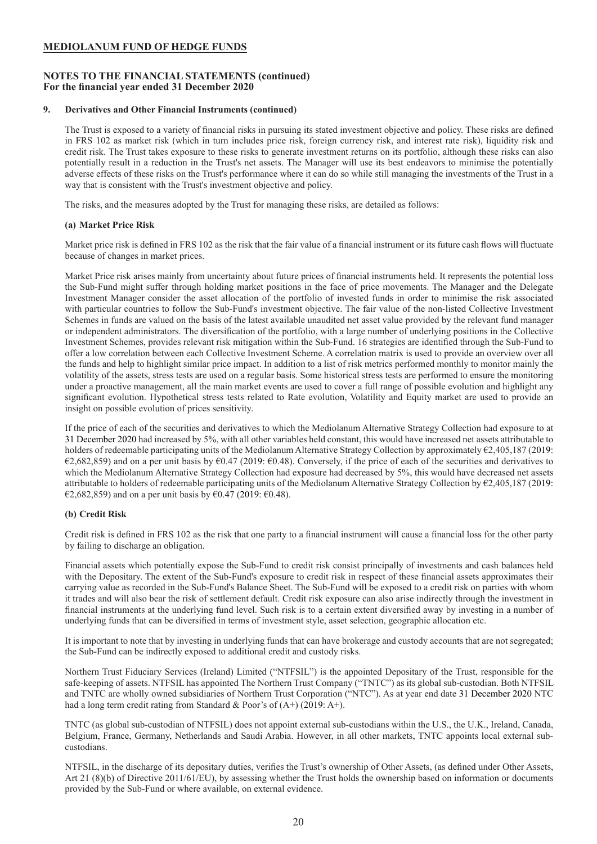# **NOTES TO THE FINANCIAL STATEMENTS (continued) For the financial year ended 31 December 2020**

### **9. Derivatives and Other Financial Instruments (continued)**

The Trust is exposed to a variety of financial risks in pursuing its stated investment objective and policy. These risks are defined in FRS 102 as market risk (which in turn includes price risk, foreign currency risk, and interest rate risk), liquidity risk and credit risk. The Trust takes exposure to these risks to generate investment returns on its portfolio, although these risks can also potentially result in a reduction in the Trust's net assets. The Manager will use its best endeavors to minimise the potentially adverse effects of these risks on the Trust's performance where it can do so while still managing the investments of the Trust in a way that is consistent with the Trust's investment objective and policy.

The risks, and the measures adopted by the Trust for managing these risks, are detailed as follows:

# **(a) Market Price Risk**

Market price risk is defined in FRS 102 as the risk that the fair value of a financial instrument or its future cash flows will fluctuate because of changes in market prices.

Market Price risk arises mainly from uncertainty about future prices of financial instruments held. It represents the potential loss the Sub-Fund might suffer through holding market positions in the face of price movements. The Manager and the Delegate Investment Manager consider the asset allocation of the portfolio of invested funds in order to minimise the risk associated with particular countries to follow the Sub-Fund's investment objective. The fair value of the non-listed Collective Investment Schemes in funds are valued on the basis of the latest available unaudited net asset value provided by the relevant fund manager or independent administrators. The diversification of the portfolio, with a large number of underlying positions in the Collective Investment Schemes, provides relevant risk mitigation within the Sub-Fund. 16 strategies are identified through the Sub-Fund to offer a low correlation between each Collective Investment Scheme. A correlation matrix is used to provide an overview over all the funds and help to highlight similar price impact. In addition to a list of risk metrics performed monthly to monitor mainly the volatility of the assets, stress tests are used on a regular basis. Some historical stress tests are performed to ensure the monitoring under a proactive management, all the main market events are used to cover a full range of possible evolution and highlight any significant evolution. Hypothetical stress tests related to Rate evolution, Volatility and Equity market are used to provide an insight on possible evolution of prices sensitivity.

If the price of each of the securities and derivatives to which the Mediolanum Alternative Strategy Collection had exposure to at 31 December 2020 had increased by 5%, with all other variables held constant, this would have increased net assets attributable to holders of redeemable participating units of the Mediolanum Alternative Strategy Collection by approximately €2,405,187 (2019: €2,682,859) and on a per unit basis by €0.47 (2019: €0.48). Conversely, if the price of each of the securities and derivatives to which the Mediolanum Alternative Strategy Collection had exposure had decreased by 5%, this would have decreased net assets attributable to holders of redeemable participating units of the Mediolanum Alternative Strategy Collection by €2,405,187 (2019: €2,682,859) and on a per unit basis by €0.47 (2019: €0.48).

# **(b) Credit Risk**

Credit risk is defined in FRS 102 as the risk that one party to a financial instrument will cause a financial loss for the other party by failing to discharge an obligation.

Financial assets which potentially expose the Sub-Fund to credit risk consist principally of investments and cash balances held with the Depositary. The extent of the Sub-Fund's exposure to credit risk in respect of these financial assets approximates their carrying value as recorded in the Sub-Fund's Balance Sheet. The Sub-Fund will be exposed to a credit risk on parties with whom it trades and will also bear the risk of settlement default. Credit risk exposure can also arise indirectly through the investment in financial instruments at the underlying fund level. Such risk is to a certain extent diversified away by investing in a number of underlying funds that can be diversified in terms of investment style, asset selection, geographic allocation etc.

It is important to note that by investing in underlying funds that can have brokerage and custody accounts that are not segregated; the Sub-Fund can be indirectly exposed to additional credit and custody risks.

Northern Trust Fiduciary Services (Ireland) Limited ("NTFSIL") is the appointed Depositary of the Trust, responsible for the safe-keeping of assets. NTFSIL has appointed The Northern Trust Company ("TNTC") as its global sub-custodian. Both NTFSIL and TNTC are wholly owned subsidiaries of Northern Trust Corporation ("NTC"). As at year end date 31 December 2020 NTC had a long term credit rating from Standard & Poor's of (A+) (2019: A+).

TNTC (as global sub-custodian of NTFSIL) does not appoint external sub-custodians within the U.S., the U.K., Ireland, Canada, Belgium, France, Germany, Netherlands and Saudi Arabia. However, in all other markets, TNTC appoints local external subcustodians.

NTFSIL, in the discharge of its depositary duties, verifies the Trust's ownership of Other Assets, (as defined under Other Assets, Art 21 (8)(b) of Directive 2011/61/EU), by assessing whether the Trust holds the ownership based on information or documents provided by the Sub-Fund or where available, on external evidence.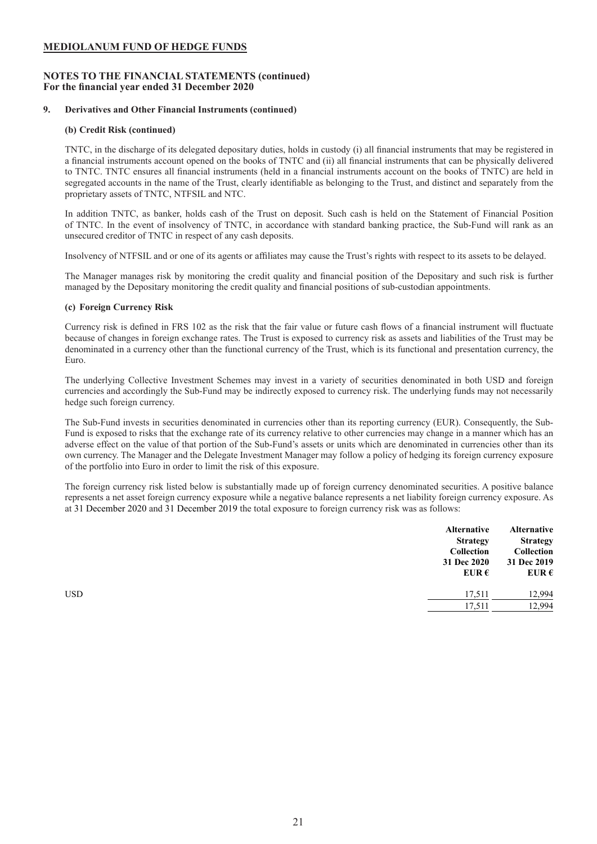# **NOTES TO THE FINANCIAL STATEMENTS (continued) For the financial year ended 31 December 2020**

# **9. Derivatives and Other Financial Instruments (continued)**

### **(b) Credit Risk (continued)**

TNTC, in the discharge of its delegated depositary duties, holds in custody (i) all financial instruments that may be registered in a financial instruments account opened on the books of TNTC and (ii) all financial instruments that can be physically delivered to TNTC. TNTC ensures all financial instruments (held in a financial instruments account on the books of TNTC) are held in segregated accounts in the name of the Trust, clearly identifiable as belonging to the Trust, and distinct and separately from the proprietary assets of TNTC, NTFSIL and NTC.

In addition TNTC, as banker, holds cash of the Trust on deposit. Such cash is held on the Statement of Financial Position of TNTC. In the event of insolvency of TNTC, in accordance with standard banking practice, the Sub-Fund will rank as an unsecured creditor of TNTC in respect of any cash deposits.

Insolvency of NTFSIL and or one of its agents or affiliates may cause the Trust's rights with respect to its assets to be delayed.

The Manager manages risk by monitoring the credit quality and financial position of the Depositary and such risk is further managed by the Depositary monitoring the credit quality and financial positions of sub-custodian appointments.

# **(c) Foreign Currency Risk**

Currency risk is defined in FRS 102 as the risk that the fair value or future cash flows of a financial instrument will fluctuate because of changes in foreign exchange rates. The Trust is exposed to currency risk as assets and liabilities of the Trust may be denominated in a currency other than the functional currency of the Trust, which is its functional and presentation currency, the Euro.

The underlying Collective Investment Schemes may invest in a variety of securities denominated in both USD and foreign currencies and accordingly the Sub-Fund may be indirectly exposed to currency risk. The underlying funds may not necessarily hedge such foreign currency.

The Sub-Fund invests in securities denominated in currencies other than its reporting currency (EUR). Consequently, the Sub-Fund is exposed to risks that the exchange rate of its currency relative to other currencies may change in a manner which has an adverse effect on the value of that portion of the Sub-Fund's assets or units which are denominated in currencies other than its own currency. The Manager and the Delegate Investment Manager may follow a policy of hedging its foreign currency exposure of the portfolio into Euro in order to limit the risk of this exposure.

The foreign currency risk listed below is substantially made up of foreign currency denominated securities. A positive balance represents a net asset foreign currency exposure while a negative balance represents a net liability foreign currency exposure. As at 31 December 2020 and 31 December 2019 the total exposure to foreign currency risk was as follows:

| 31 Dec 2020<br>EUR $\epsilon$ | <b>Alternative</b><br><b>Strategy</b><br>Collection<br>31 Dec 2019<br>EUR $\epsilon$ |
|-------------------------------|--------------------------------------------------------------------------------------|
| <b>USD</b><br>17,511          | 12,994                                                                               |
| 17,511                        | 12,994                                                                               |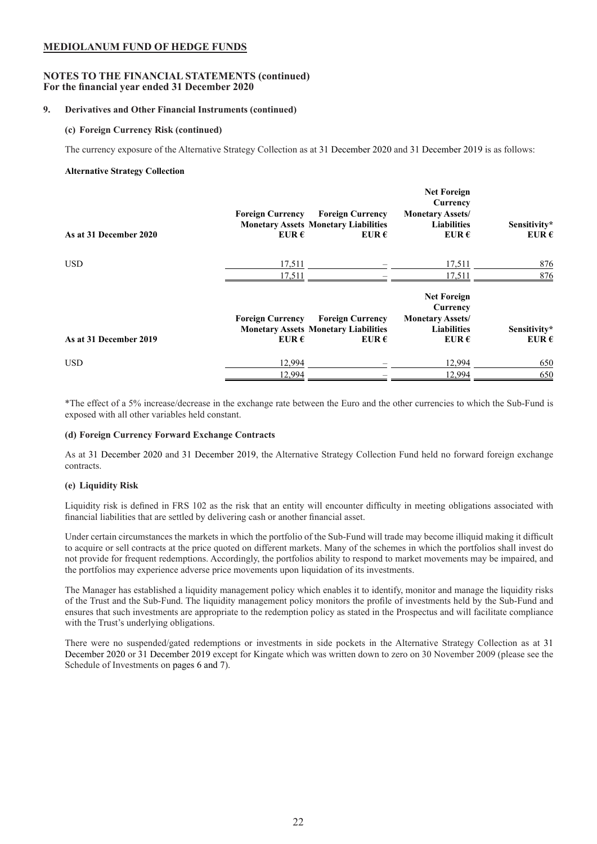# **NOTES TO THE FINANCIAL STATEMENTS (continued) For the financial year ended 31 December 2020**

# **9. Derivatives and Other Financial Instruments (continued)**

# **(c) Foreign Currency Risk (continued)**

The currency exposure of the Alternative Strategy Collection as at 31 December 2020 and 31 December 2019 is as follows:

# **Alternative Strategy Collection**

| As at 31 December 2020 | <b>Foreign Currency</b><br>EUR $\epsilon$ | <b>Foreign Currency</b><br><b>Monetary Assets Monetary Liabilities</b><br>EUR $\epsilon$ | <b>Net Foreign</b><br>Currency<br><b>Monetary Assets/</b><br><b>Liabilities</b><br>EUR $\epsilon$ | Sensitivity*<br>EUR $\epsilon$ |
|------------------------|-------------------------------------------|------------------------------------------------------------------------------------------|---------------------------------------------------------------------------------------------------|--------------------------------|
| <b>USD</b>             | 17,511                                    |                                                                                          | 17,511                                                                                            | 876                            |
|                        | 17,511                                    |                                                                                          | 17,511                                                                                            | 876                            |
| As at 31 December 2019 | <b>Foreign Currency</b><br>EUR $\epsilon$ | <b>Foreign Currency</b><br><b>Monetary Assets Monetary Liabilities</b><br>EUR $\epsilon$ | <b>Net Foreign</b><br>Currency<br><b>Monetary Assets/</b><br><b>Liabilities</b><br>EUR $\epsilon$ | Sensitivity*<br>EUR $\epsilon$ |
| <b>USD</b>             | 12,994<br>12,994                          |                                                                                          | 12,994<br>12,994                                                                                  | 650<br>650                     |

\*The effect of a 5% increase/decrease in the exchange rate between the Euro and the other currencies to which the Sub-Fund is exposed with all other variables held constant.

# **(d) Foreign Currency Forward Exchange Contracts**

As at 31 December 2020 and 31 December 2019, the Alternative Strategy Collection Fund held no forward foreign exchange contracts.

# **(e) Liquidity Risk**

Liquidity risk is defined in FRS 102 as the risk that an entity will encounter difficulty in meeting obligations associated with financial liabilities that are settled by delivering cash or another financial asset.

Under certain circumstances the markets in which the portfolio of the Sub-Fund will trade may become illiquid making it difficult to acquire or sell contracts at the price quoted on different markets. Many of the schemes in which the portfolios shall invest do not provide for frequent redemptions. Accordingly, the portfolios ability to respond to market movements may be impaired, and the portfolios may experience adverse price movements upon liquidation of its investments.

The Manager has established a liquidity management policy which enables it to identify, monitor and manage the liquidity risks of the Trust and the Sub-Fund. The liquidity management policy monitors the profile of investments held by the Sub-Fund and ensures that such investments are appropriate to the redemption policy as stated in the Prospectus and will facilitate compliance with the Trust's underlying obligations.

There were no suspended/gated redemptions or investments in side pockets in the Alternative Strategy Collection as at 31 December 2020 or 31 December 2019 except for Kingate which was written down to zero on 30 November 2009 (please see the Schedule of Investments on pages 6 and 7).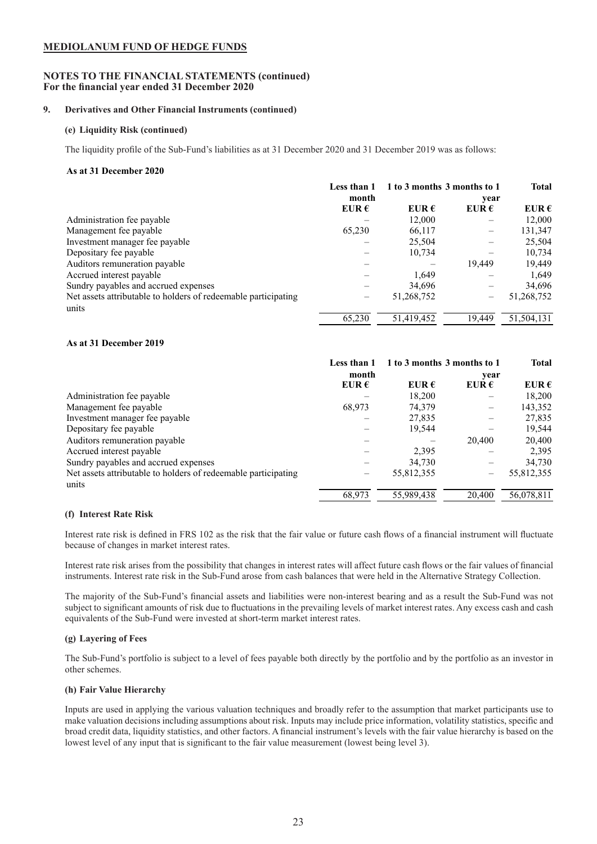# **NOTES TO THE FINANCIAL STATEMENTS (continued) For the financial year ended 31 December 2020**

# **9. Derivatives and Other Financial Instruments (continued)**

# **(e) Liquidity Risk (continued)**

The liquidity profile of the Sub-Fund's liabilities as at 31 December 2020 and 31 December 2019 was as follows:

# **As at 31 December 2020**

|                                                                | Less than 1    | 1 to 3 months 3 months to 1 |                | <b>Total</b>   |
|----------------------------------------------------------------|----------------|-----------------------------|----------------|----------------|
|                                                                | month          |                             | vear           |                |
|                                                                | EUR $\epsilon$ | EUR $\epsilon$              | EUR $\epsilon$ | EUR $\epsilon$ |
| Administration fee payable                                     |                | 12.000                      |                | 12,000         |
| Management fee payable                                         | 65,230         | 66,117                      |                | 131,347        |
| Investment manager fee payable                                 |                | 25,504                      |                | 25,504         |
| Depositary fee payable                                         |                | 10,734                      |                | 10,734         |
| Auditors remuneration payable                                  |                |                             | 19.449         | 19,449         |
| Accrued interest payable                                       |                | 1,649                       |                | 1,649          |
| Sundry payables and accrued expenses                           |                | 34,696                      |                | 34,696         |
| Net assets attributable to holders of redeemable participating |                | 51,268,752                  |                | 51,268,752     |
| units                                                          |                |                             |                |                |
|                                                                | 65.230         | 51,419,452                  | 19.449         | 51,504,131     |

# **As at 31 December 2019**

|                                                                | Less than 1    | 1 to 3 months 3 months to 1 |                | <b>Total</b>   |
|----------------------------------------------------------------|----------------|-----------------------------|----------------|----------------|
|                                                                | month          |                             | year           |                |
|                                                                | EUR $\epsilon$ | EUR $\epsilon$              | EUR $\epsilon$ | EUR $\epsilon$ |
| Administration fee payable                                     |                | 18,200                      |                | 18,200         |
| Management fee payable                                         | 68,973         | 74,379                      |                | 143,352        |
| Investment manager fee payable                                 |                | 27,835                      |                | 27,835         |
| Depositary fee payable                                         |                | 19,544                      |                | 19,544         |
| Auditors remuneration payable                                  |                |                             | 20,400         | 20,400         |
| Accrued interest payable                                       |                | 2,395                       |                | 2,395          |
| Sundry payables and accrued expenses                           |                | 34,730                      |                | 34,730         |
| Net assets attributable to holders of redeemable participating | –              | 55,812,355                  |                | 55,812,355     |
| units                                                          |                |                             |                |                |
|                                                                | 68,973         | 55,989,438                  | 20.400         | 56,078,811     |

# **(f) Interest Rate Risk**

Interest rate risk is defined in FRS 102 as the risk that the fair value or future cash flows of a financial instrument will fluctuate because of changes in market interest rates.

Interest rate risk arises from the possibility that changes in interest rates will affect future cash flows or the fair values of financial instruments. Interest rate risk in the Sub-Fund arose from cash balances that were held in the Alternative Strategy Collection.

The majority of the Sub-Fund's financial assets and liabilities were non-interest bearing and as a result the Sub-Fund was not subject to significant amounts of risk due to fluctuations in the prevailing levels of market interest rates. Any excess cash and cash equivalents of the Sub-Fund were invested at short-term market interest rates.

# **(g) Layering of Fees**

The Sub-Fund's portfolio is subject to a level of fees payable both directly by the portfolio and by the portfolio as an investor in other schemes.

# **(h) Fair Value Hierarchy**

Inputs are used in applying the various valuation techniques and broadly refer to the assumption that market participants use to make valuation decisions including assumptions about risk. Inputs may include price information, volatility statistics, specific and broad credit data, liquidity statistics, and other factors. A financial instrument's levels with the fair value hierarchy is based on the lowest level of any input that is significant to the fair value measurement (lowest being level 3).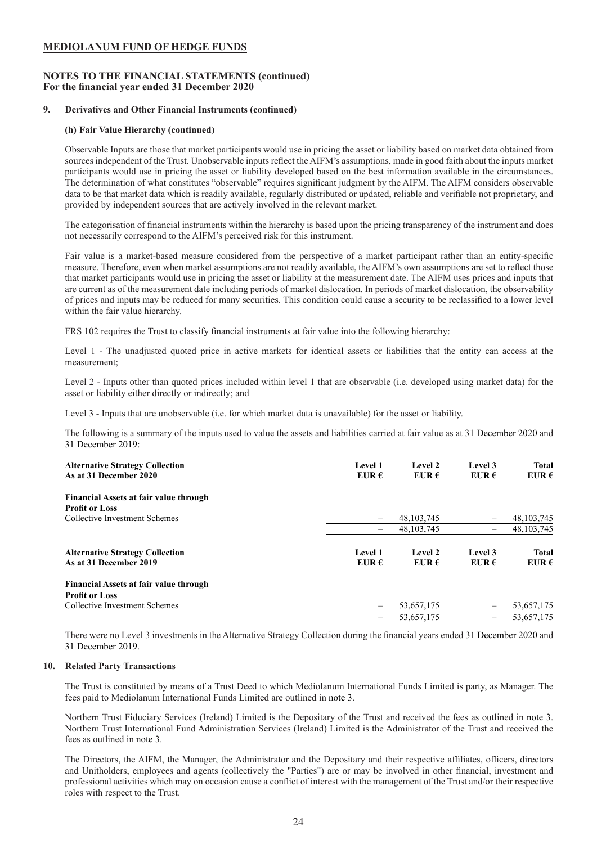# **NOTES TO THE FINANCIAL STATEMENTS (continued) For the financial year ended 31 December 2020**

### **9. Derivatives and Other Financial Instruments (continued)**

### **(h) Fair Value Hierarchy (continued)**

Observable Inputs are those that market participants would use in pricing the asset or liability based on market data obtained from sources independent of the Trust. Unobservable inputs reflect the AIFM's assumptions, made in good faith about the inputs market participants would use in pricing the asset or liability developed based on the best information available in the circumstances. The determination of what constitutes "observable" requires significant judgment by the AIFM. The AIFM considers observable data to be that market data which is readily available, regularly distributed or updated, reliable and verifiable not proprietary, and provided by independent sources that are actively involved in the relevant market.

The categorisation of financial instruments within the hierarchy is based upon the pricing transparency of the instrument and does not necessarily correspond to the AIFM's perceived risk for this instrument.

Fair value is a market-based measure considered from the perspective of a market participant rather than an entity-specific measure. Therefore, even when market assumptions are not readily available, the AIFM's own assumptions are set to reflect those that market participants would use in pricing the asset or liability at the measurement date. The AIFM uses prices and inputs that are current as of the measurement date including periods of market dislocation. In periods of market dislocation, the observability of prices and inputs may be reduced for many securities. This condition could cause a security to be reclassified to a lower level within the fair value hierarchy.

FRS 102 requires the Trust to classify financial instruments at fair value into the following hierarchy:

Level 1 - The unadjusted quoted price in active markets for identical assets or liabilities that the entity can access at the measurement;

Level 2 - Inputs other than quoted prices included within level 1 that are observable (i.e. developed using market data) for the asset or liability either directly or indirectly; and

Level 3 - Inputs that are unobservable (i.e. for which market data is unavailable) for the asset or liability.

The following is a summary of the inputs used to value the assets and liabilities carried at fair value as at 31 December 2020 and 31 December 2019:

| <b>Alternative Strategy Collection</b><br>As at 31 December 2020 | Level 1<br>EUR $\epsilon$ | Level 2<br>EUR $\epsilon$ | Level 3<br>EUR $\epsilon$ | <b>Total</b><br>EUR $\epsilon$ |
|------------------------------------------------------------------|---------------------------|---------------------------|---------------------------|--------------------------------|
| <b>Financial Assets at fair value through</b>                    |                           |                           |                           |                                |
| <b>Profit or Loss</b>                                            |                           |                           |                           |                                |
| Collective Investment Schemes                                    | $\overline{\phantom{0}}$  | 48, 103, 745              | $\qquad \qquad -$         | 48, 103, 745                   |
|                                                                  | $\overline{\phantom{0}}$  | 48.103.745                | -                         | 48, 103, 745                   |
| <b>Alternative Strategy Collection</b><br>As at 31 December 2019 | Level 1<br>EUR $\epsilon$ | Level 2<br>EUR $\epsilon$ | Level 3<br>EUR $\epsilon$ | <b>Total</b><br>EUR $\epsilon$ |
| <b>Financial Assets at fair value through</b>                    |                           |                           |                           |                                |
| <b>Profit or Loss</b>                                            |                           |                           |                           |                                |
| Collective Investment Schemes                                    |                           | 53,657,175                | $\qquad \qquad$           | 53,657,175                     |
|                                                                  | -                         | 53,657,175                | -                         | 53,657,175                     |

There were no Level 3 investments in the Alternative Strategy Collection during the financial years ended 31 December 2020 and 31 December 2019.

#### **10. Related Party Transactions**

The Trust is constituted by means of a Trust Deed to which Mediolanum International Funds Limited is party, as Manager. The fees paid to Mediolanum International Funds Limited are outlined in note 3.

Northern Trust Fiduciary Services (Ireland) Limited is the Depositary of the Trust and received the fees as outlined in note 3. Northern Trust International Fund Administration Services (Ireland) Limited is the Administrator of the Trust and received the fees as outlined in note 3.

The Directors, the AIFM, the Manager, the Administrator and the Depositary and their respective affiliates, officers, directors and Unitholders, employees and agents (collectively the "Parties") are or may be involved in other financial, investment and professional activities which may on occasion cause a conflict of interest with the management of the Trust and/or their respective roles with respect to the Trust.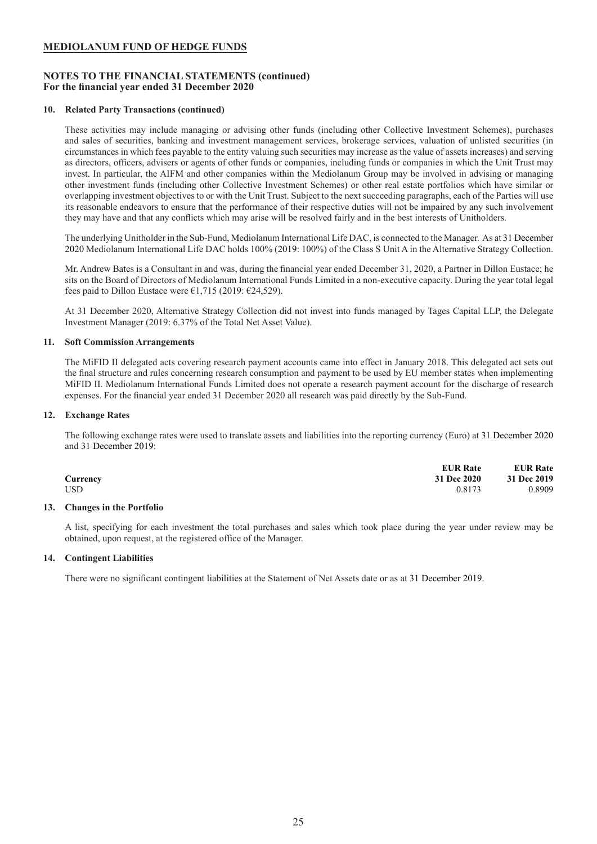# **NOTES TO THE FINANCIAL STATEMENTS (continued) For the financial year ended 31 December 2020**

### **10. Related Party Transactions (continued)**

These activities may include managing or advising other funds (including other Collective Investment Schemes), purchases and sales of securities, banking and investment management services, brokerage services, valuation of unlisted securities (in circumstances in which fees payable to the entity valuing such securities may increase as the value of assets increases) and serving as directors, officers, advisers or agents of other funds or companies, including funds or companies in which the Unit Trust may invest. In particular, the AIFM and other companies within the Mediolanum Group may be involved in advising or managing other investment funds (including other Collective Investment Schemes) or other real estate portfolios which have similar or overlapping investment objectives to or with the Unit Trust. Subject to the next succeeding paragraphs, each of the Parties will use its reasonable endeavors to ensure that the performance of their respective duties will not be impaired by any such involvement they may have and that any conflicts which may arise will be resolved fairly and in the best interests of Unitholders.

The underlying Unitholder in the Sub-Fund, Mediolanum International Life DAC, is connected to the Manager. As at 31 December 2020 Mediolanum International Life DAC holds 100% (2019: 100%) of the Class S Unit A in the Alternative Strategy Collection.

Mr. Andrew Bates is a Consultant in and was, during the financial year ended December 31, 2020, a Partner in Dillon Eustace; he sits on the Board of Directors of Mediolanum International Funds Limited in a non-executive capacity. During the year total legal fees paid to Dillon Eustace were  $\epsilon$ 1,715 (2019:  $\epsilon$ 24,529).

At 31 December 2020, Alternative Strategy Collection did not invest into funds managed by Tages Capital LLP, the Delegate Investment Manager (2019: 6.37% of the Total Net Asset Value).

### **11. Soft Commission Arrangements**

The MiFID II delegated acts covering research payment accounts came into effect in January 2018. This delegated act sets out the final structure and rules concerning research consumption and payment to be used by EU member states when implementing MiFID II. Mediolanum International Funds Limited does not operate a research payment account for the discharge of research expenses. For the financial year ended 31 December 2020 all research was paid directly by the Sub-Fund.

# **12. Exchange Rates**

The following exchange rates were used to translate assets and liabilities into the reporting currency (Euro) at 31 December 2020 and 31 December 2019:

|          | <b>EUR Rate</b> | <b>EUR Rate</b> |
|----------|-----------------|-----------------|
| Currency | 31 Dec 2020     | 31 Dec 2019     |
| USD      | 0.8173          | 0.8909          |

### **13. Changes in the Portfolio**

A list, specifying for each investment the total purchases and sales which took place during the year under review may be obtained, upon request, at the registered office of the Manager.

#### **14. Contingent Liabilities**

There were no significant contingent liabilities at the Statement of Net Assets date or as at 31 December 2019.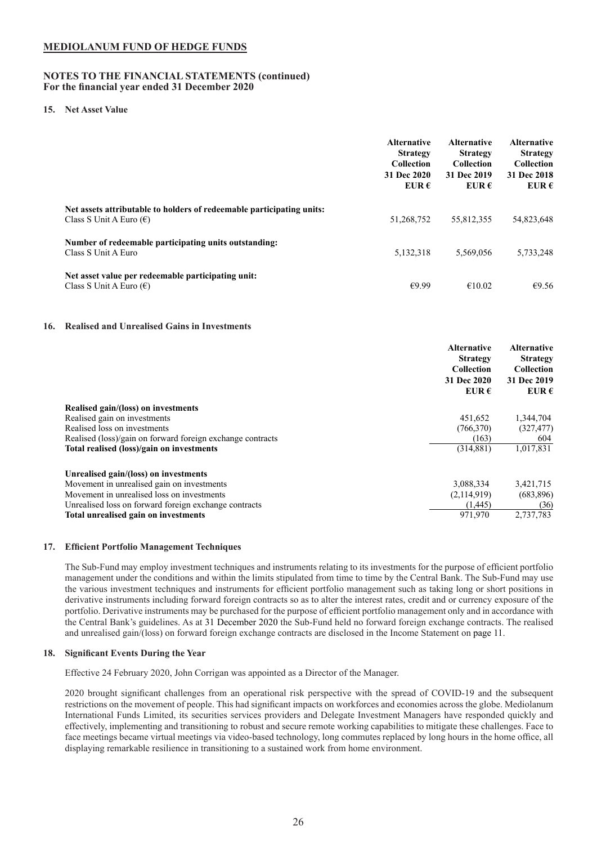### **NOTES TO THE FINANCIAL STATEMENTS (continued) For the financial year ended 31 December 2020**

#### **15. Net Asset Value**

|                                                                                                           | <b>Alternative</b><br><b>Strategy</b><br><b>Collection</b><br>31 Dec 2020<br>EUR $\epsilon$ | <b>Alternative</b><br><b>Strategy</b><br><b>Collection</b><br>31 Dec 2019<br>EUR $\epsilon$ | <b>Alternative</b><br><b>Strategy</b><br><b>Collection</b><br>31 Dec 2018<br>EUR $\epsilon$ |
|-----------------------------------------------------------------------------------------------------------|---------------------------------------------------------------------------------------------|---------------------------------------------------------------------------------------------|---------------------------------------------------------------------------------------------|
| Net assets attributable to holders of redeemable participating units:<br>Class S Unit A Euro $(\epsilon)$ | 51,268,752                                                                                  | 55,812,355                                                                                  | 54,823,648                                                                                  |
| Number of redeemable participating units outstanding:<br>Class S Unit A Euro                              | 5,132,318                                                                                   | 5,569,056                                                                                   | 5,733,248                                                                                   |
| Net asset value per redeemable participating unit:<br>Class S Unit A Euro $(\epsilon)$                    | €9.99                                                                                       | €10.02                                                                                      | €9.56                                                                                       |
|                                                                                                           |                                                                                             |                                                                                             |                                                                                             |

### **16. Realised and Unrealised Gains in Investments**

|                                                            | <b>Alternative</b><br><b>Strategy</b><br><b>Collection</b><br>31 Dec 2020<br>EUR $\epsilon$ | <b>Alternative</b><br><b>Strategy</b><br><b>Collection</b><br>31 Dec 2019<br>EUR $\epsilon$ |
|------------------------------------------------------------|---------------------------------------------------------------------------------------------|---------------------------------------------------------------------------------------------|
| Realised gain/(loss) on investments                        |                                                                                             |                                                                                             |
| Realised gain on investments                               | 451,652                                                                                     | 1,344,704                                                                                   |
| Realised loss on investments                               | (766, 370)                                                                                  | (327, 477)                                                                                  |
| Realised (loss)/gain on forward foreign exchange contracts | (163)                                                                                       | 604                                                                                         |
| Total realised (loss)/gain on investments                  | (314, 881)                                                                                  | 1,017,831                                                                                   |
| Unrealised gain/(loss) on investments                      |                                                                                             |                                                                                             |
| Movement in unrealised gain on investments                 | 3,088,334                                                                                   | 3,421,715                                                                                   |
| Movement in unrealised loss on investments                 | (2,114,919)                                                                                 | (683, 896)                                                                                  |
| Unrealised loss on forward foreign exchange contracts      | (1.445)                                                                                     | (36)                                                                                        |
| Total unrealised gain on investments                       | 971.970                                                                                     | 2,737,783                                                                                   |

#### **17. Efficient Portfolio Management Techniques**

The Sub-Fund may employ investment techniques and instruments relating to its investments for the purpose of efficient portfolio management under the conditions and within the limits stipulated from time to time by the Central Bank. The Sub-Fund may use the various investment techniques and instruments for efficient portfolio management such as taking long or short positions in derivative instruments including forward foreign contracts so as to alter the interest rates, credit and or currency exposure of the portfolio. Derivative instruments may be purchased for the purpose of efficient portfolio management only and in accordance with the Central Bank's guidelines. As at 31 December 2020 the Sub-Fund held no forward foreign exchange contracts. The realised and unrealised gain/(loss) on forward foreign exchange contracts are disclosed in the Income Statement on page 11.

#### **18. Significant Events During the Year**

Effective 24 February 2020, John Corrigan was appointed as a Director of the Manager.

2020 brought significant challenges from an operational risk perspective with the spread of COVID-19 and the subsequent restrictions on the movement of people. This had significant impacts on workforces and economies across the globe. Mediolanum International Funds Limited, its securities services providers and Delegate Investment Managers have responded quickly and effectively, implementing and transitioning to robust and secure remote working capabilities to mitigate these challenges. Face to face meetings became virtual meetings via video-based technology, long commutes replaced by long hours in the home office, all displaying remarkable resilience in transitioning to a sustained work from home environment.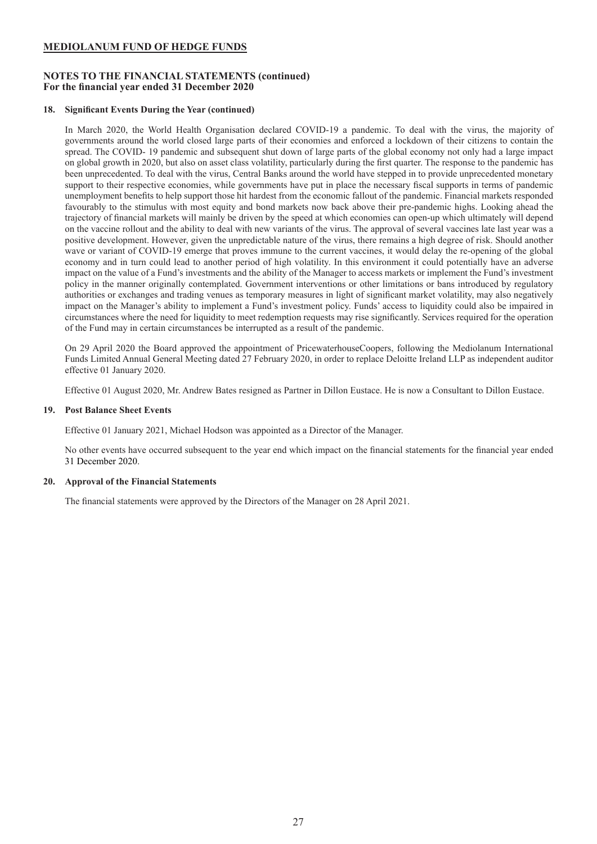# **NOTES TO THE FINANCIAL STATEMENTS (continued) For the financial year ended 31 December 2020**

# **18. Significant Events During the Year (continued)**

In March 2020, the World Health Organisation declared COVID-19 a pandemic. To deal with the virus, the majority of governments around the world closed large parts of their economies and enforced a lockdown of their citizens to contain the spread. The COVID- 19 pandemic and subsequent shut down of large parts of the global economy not only had a large impact on global growth in 2020, but also on asset class volatility, particularly during the first quarter. The response to the pandemic has been unprecedented. To deal with the virus, Central Banks around the world have stepped in to provide unprecedented monetary support to their respective economies, while governments have put in place the necessary fiscal supports in terms of pandemic unemployment benefits to help support those hit hardest from the economic fallout of the pandemic. Financial markets responded favourably to the stimulus with most equity and bond markets now back above their pre-pandemic highs. Looking ahead the trajectory of financial markets will mainly be driven by the speed at which economies can open-up which ultimately will depend on the vaccine rollout and the ability to deal with new variants of the virus. The approval of several vaccines late last year was a positive development. However, given the unpredictable nature of the virus, there remains a high degree of risk. Should another wave or variant of COVID-19 emerge that proves immune to the current vaccines, it would delay the re-opening of the global economy and in turn could lead to another period of high volatility. In this environment it could potentially have an adverse impact on the value of a Fund's investments and the ability of the Manager to access markets or implement the Fund's investment policy in the manner originally contemplated. Government interventions or other limitations or bans introduced by regulatory authorities or exchanges and trading venues as temporary measures in light of significant market volatility, may also negatively impact on the Manager's ability to implement a Fund's investment policy. Funds' access to liquidity could also be impaired in circumstances where the need for liquidity to meet redemption requests may rise significantly. Services required for the operation of the Fund may in certain circumstances be interrupted as a result of the pandemic.

On 29 April 2020 the Board approved the appointment of PricewaterhouseCoopers, following the Mediolanum International Funds Limited Annual General Meeting dated 27 February 2020, in order to replace Deloitte Ireland LLP as independent auditor effective 01 January 2020.

Effective 01 August 2020, Mr. Andrew Bates resigned as Partner in Dillon Eustace. He is now a Consultant to Dillon Eustace.

# **19. Post Balance Sheet Events**

Effective 01 January 2021, Michael Hodson was appointed as a Director of the Manager.

No other events have occurred subsequent to the year end which impact on the financial statements for the financial year ended 31 December 2020.

# **20. Approval of the Financial Statements**

The financial statements were approved by the Directors of the Manager on 28 April 2021.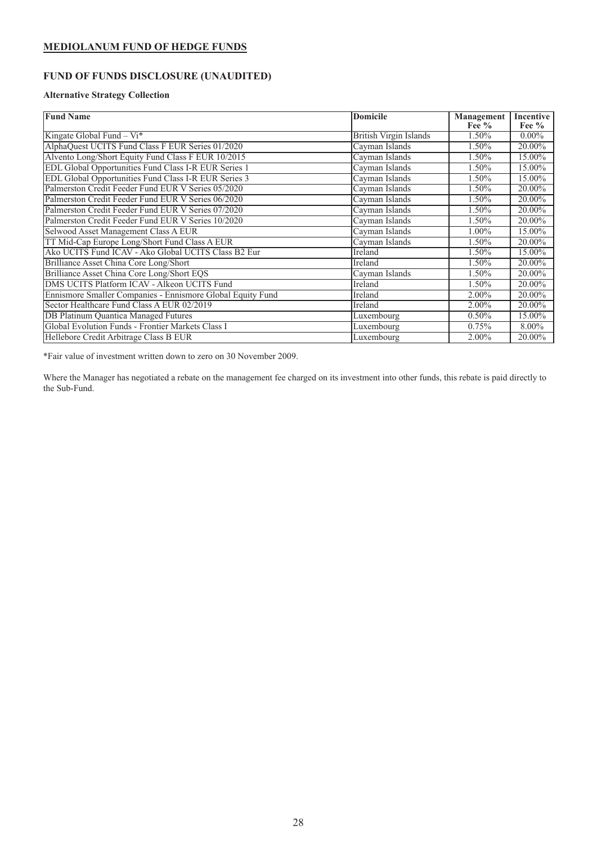# <span id="page-28-0"></span>**FUND OF FUNDS DISCLOSURE (UNAUDITED)**

# **Alternative Strategy Collection**

| <b>Fund Name</b>                                           | <b>Domicile</b>               | <b>Management</b><br>Fee $%$ | <b>Incentive</b><br>Fee $%$ |
|------------------------------------------------------------|-------------------------------|------------------------------|-----------------------------|
| Kingate Global Fund – $Vi^*$                               | <b>British Virgin Islands</b> | 1.50%                        | $0.00\%$                    |
| AlphaQuest UCITS Fund Class F EUR Series 01/2020           | Cayman Islands                | 1.50%                        | 20.00%                      |
| Alvento Long/Short Equity Fund Class F EUR 10/2015         | Cayman Islands                | 1.50%                        | 15.00%                      |
| EDL Global Opportunities Fund Class I-R EUR Series 1       | Cayman Islands                | 1.50%                        | 15.00%                      |
| EDL Global Opportunities Fund Class I-R EUR Series 3       | Cayman Islands                | 1.50%                        | 15.00%                      |
| Palmerston Credit Feeder Fund EUR V Series 05/2020         | Cayman Islands                | 1.50%                        | 20.00%                      |
| Palmerston Credit Feeder Fund EUR V Series 06/2020         | Cayman Islands                | 1.50%                        | 20.00%                      |
| Palmerston Credit Feeder Fund EUR V Series 07/2020         | Cayman Islands                | 1.50%                        | 20.00%                      |
| Palmerston Credit Feeder Fund EUR V Series 10/2020         | Cayman Islands                | 1.50%                        | 20.00%                      |
| Selwood Asset Management Class A EUR                       | Cayman Islands                | $1.00\%$                     | 15.00%                      |
| TT Mid-Cap Europe Long/Short Fund Class A EUR              | Cayman Islands                | 1.50%                        | 20.00%                      |
| Ako UCITS Fund ICAV - Ako Global UCITS Class B2 Eur        | Ireland                       | 1.50%                        | 15.00%                      |
| Brilliance Asset China Core Long/Short                     | Ireland                       | 1.50%                        | 20.00%                      |
| Brilliance Asset China Core Long/Short EQS                 | Cayman Islands                | 1.50%                        | 20.00%                      |
| DMS UCITS Platform ICAV - Alkeon UCITS Fund                | Ireland                       | 1.50%                        | 20.00%                      |
| Ennismore Smaller Companies - Ennismore Global Equity Fund | Ireland                       | 2.00%                        | 20.00%                      |
| Sector Healthcare Fund Class A EUR 02/2019                 | Ireland                       | 2.00%                        | 20.00%                      |
| <b>DB Platinum Quantica Managed Futures</b>                | Luxembourg                    | 0.50%                        | 15.00%                      |
| Global Evolution Funds - Frontier Markets Class I          | Luxembourg                    | 0.75%                        | 8.00%                       |
| Hellebore Credit Arbitrage Class B EUR                     | Luxembourg                    | $2.00\%$                     | 20.00%                      |

\*Fair value of investment written down to zero on 30 November 2009.

Where the Manager has negotiated a rebate on the management fee charged on its investment into other funds, this rebate is paid directly to the Sub-Fund.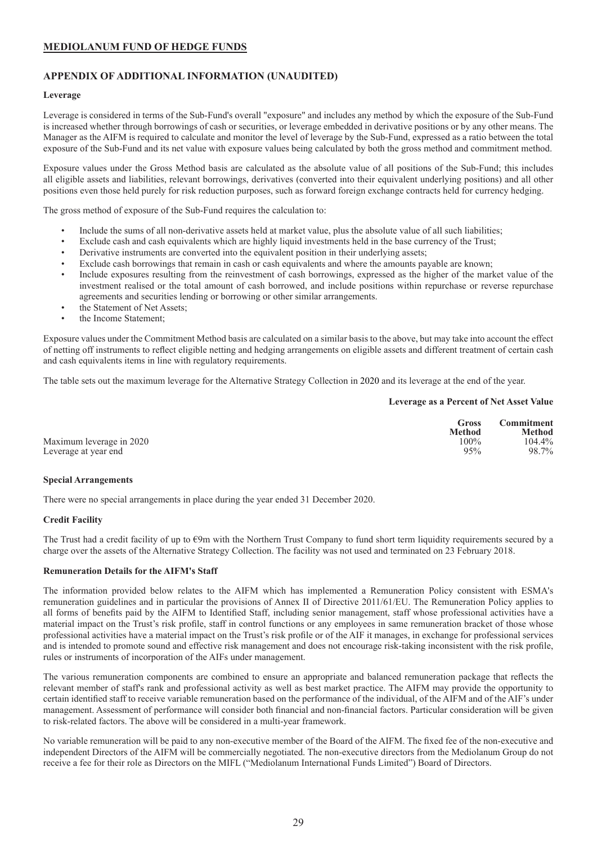# <span id="page-29-0"></span>**APPENDIX OF ADDITIONAL INFORMATION (UNAUDITED)**

# **Leverage**

Leverage is considered in terms of the Sub-Fund's overall "exposure" and includes any method by which the exposure of the Sub-Fund is increased whether through borrowings of cash or securities, or leverage embedded in derivative positions or by any other means. The Manager as the AIFM is required to calculate and monitor the level of leverage by the Sub-Fund, expressed as a ratio between the total exposure of the Sub-Fund and its net value with exposure values being calculated by both the gross method and commitment method.

Exposure values under the Gross Method basis are calculated as the absolute value of all positions of the Sub-Fund; this includes all eligible assets and liabilities, relevant borrowings, derivatives (converted into their equivalent underlying positions) and all other positions even those held purely for risk reduction purposes, such as forward foreign exchange contracts held for currency hedging.

The gross method of exposure of the Sub-Fund requires the calculation to:

- Include the sums of all non-derivative assets held at market value, plus the absolute value of all such liabilities;
- Exclude cash and cash equivalents which are highly liquid investments held in the base currency of the Trust;
- Derivative instruments are converted into the equivalent position in their underlying assets;
- Exclude cash borrowings that remain in cash or cash equivalents and where the amounts payable are known;
- Include exposures resulting from the reinvestment of cash borrowings, expressed as the higher of the market value of the investment realised or the total amount of cash borrowed, and include positions within repurchase or reverse repurchase agreements and securities lending or borrowing or other similar arrangements.
- the Statement of Net Assets:
- the Income Statement:

Exposure values under the Commitment Method basis are calculated on a similar basis to the above, but may take into account the effect of netting off instruments to reflect eligible netting and hedging arrangements on eligible assets and different treatment of certain cash and cash equivalents items in line with regulatory requirements.

The table sets out the maximum leverage for the Alternative Strategy Collection in 2020 and its leverage at the end of the year.

#### **Leverage as a Percent of Net Asset Value**

|                          | Gross<br><b>Method</b> | <b>Commitment</b><br><b>Method</b> |
|--------------------------|------------------------|------------------------------------|
| Maximum leverage in 2020 | $100\%$                | 104.4%                             |
| Leverage at year end     | 95%                    | 98.7%                              |

#### **Special Arrangements**

There were no special arrangements in place during the year ended 31 December 2020.

#### **Credit Facility**

The Trust had a credit facility of up to €9m with the Northern Trust Company to fund short term liquidity requirements secured by a charge over the assets of the Alternative Strategy Collection. The facility was not used and terminated on 23 February 2018.

#### **Remuneration Details for the AIFM's Staff**

The information provided below relates to the AIFM which has implemented a Remuneration Policy consistent with ESMA's remuneration guidelines and in particular the provisions of Annex II of Directive 2011/61/EU. The Remuneration Policy applies to all forms of benefits paid by the AIFM to Identified Staff, including senior management, staff whose professional activities have a material impact on the Trust's risk profile, staff in control functions or any employees in same remuneration bracket of those whose professional activities have a material impact on the Trust's risk profile or of the AIF it manages, in exchange for professional services and is intended to promote sound and effective risk management and does not encourage risk-taking inconsistent with the risk profile, rules or instruments of incorporation of the AIFs under management.

The various remuneration components are combined to ensure an appropriate and balanced remuneration package that reflects the relevant member of staff's rank and professional activity as well as best market practice. The AIFM may provide the opportunity to certain identified staff to receive variable remuneration based on the performance of the individual, of the AIFM and of the AIF's under management. Assessment of performance will consider both financial and non-financial factors. Particular consideration will be given to risk-related factors. The above will be considered in a multi-year framework.

No variable remuneration will be paid to any non-executive member of the Board of the AIFM. The fixed fee of the non-executive and independent Directors of the AIFM will be commercially negotiated. The non-executive directors from the Mediolanum Group do not receive a fee for their role as Directors on the MIFL ("Mediolanum International Funds Limited") Board of Directors.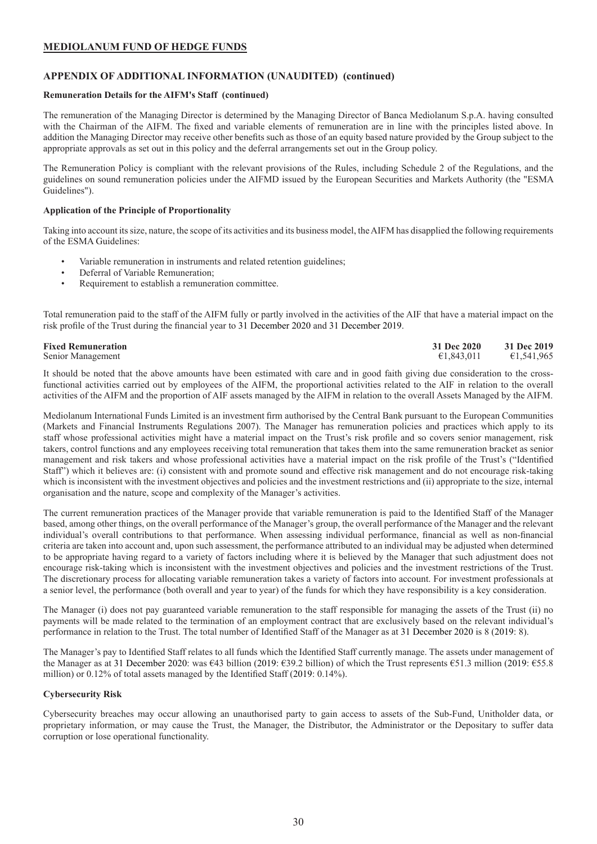# **APPENDIX OF ADDITIONAL INFORMATION (UNAUDITED) (continued)**

# **Remuneration Details for the AIFM's Staff (continued)**

The remuneration of the Managing Director is determined by the Managing Director of Banca Mediolanum S.p.A. having consulted with the Chairman of the AIFM. The fixed and variable elements of remuneration are in line with the principles listed above. In addition the Managing Director may receive other benefits such as those of an equity based nature provided by the Group subject to the appropriate approvals as set out in this policy and the deferral arrangements set out in the Group policy.

The Remuneration Policy is compliant with the relevant provisions of the Rules, including Schedule 2 of the Regulations, and the guidelines on sound remuneration policies under the AIFMD issued by the European Securities and Markets Authority (the "ESMA Guidelines").

# **Application of the Principle of Proportionality**

Taking into account its size, nature, the scope of its activities and its business model, the AIFM has disapplied the following requirements of the ESMA Guidelines:

- Variable remuneration in instruments and related retention guidelines;
- Deferral of Variable Remuneration;
- Requirement to establish a remuneration committee.

Total remuneration paid to the staff of the AIFM fully or partly involved in the activities of the AIF that have a material impact on the risk profile of the Trust during the financial year to 31 December 2020 and 31 December 2019.

Senior Management

**Fixed Remuneration**<br> **Senior Management**<br> **51.843.011**<br> **51.843.011**<br> **51.843.011**<br> **51.843.011**<br> **51.843.011**<br> **51.843.011** 

It should be noted that the above amounts have been estimated with care and in good faith giving due consideration to the crossfunctional activities carried out by employees of the AIFM, the proportional activities related to the AIF in relation to the overall activities of the AIFM and the proportion of AIF assets managed by the AIFM in relation to the overall Assets Managed by the AIFM.

Mediolanum International Funds Limited is an investment firm authorised by the Central Bank pursuant to the European Communities (Markets and Financial Instruments Regulations 2007). The Manager has remuneration policies and practices which apply to its staff whose professional activities might have a material impact on the Trust's risk profile and so covers senior management, risk takers, control functions and any employees receiving total remuneration that takes them into the same remuneration bracket as senior management and risk takers and whose professional activities have a material impact on the risk profile of the Trust's ("Identified Staff") which it believes are: (i) consistent with and promote sound and effective risk management and do not encourage risk-taking which is inconsistent with the investment objectives and policies and the investment restrictions and (ii) appropriate to the size, internal organisation and the nature, scope and complexity of the Manager's activities.

The current remuneration practices of the Manager provide that variable remuneration is paid to the Identified Staff of the Manager based, among other things, on the overall performance of the Manager's group, the overall performance of the Manager and the relevant individual's overall contributions to that performance. When assessing individual performance, financial as well as non-financial criteria are taken into account and, upon such assessment, the performance attributed to an individual may be adjusted when determined to be appropriate having regard to a variety of factors including where it is believed by the Manager that such adjustment does not encourage risk-taking which is inconsistent with the investment objectives and policies and the investment restrictions of the Trust. The discretionary process for allocating variable remuneration takes a variety of factors into account. For investment professionals at a senior level, the performance (both overall and year to year) of the funds for which they have responsibility is a key consideration.

The Manager (i) does not pay guaranteed variable remuneration to the staff responsible for managing the assets of the Trust (ii) no payments will be made related to the termination of an employment contract that are exclusively based on the relevant individual's performance in relation to the Trust. The total number of Identified Staff of the Manager as at 31 December 2020 is 8 (2019: 8).

The Manager's pay to Identified Staff relates to all funds which the Identified Staff currently manage. The assets under management of the Manager as at 31 December 2020: was €43 billion (2019: €39.2 billion) of which the Trust represents €51.3 million (2019: €55.8 million) or 0.12% of total assets managed by the Identified Staff (2019: 0.14%).

# **Cybersecurity Risk**

Cybersecurity breaches may occur allowing an unauthorised party to gain access to assets of the Sub-Fund, Unitholder data, or proprietary information, or may cause the Trust, the Manager, the Distributor, the Administrator or the Depositary to suffer data corruption or lose operational functionality.